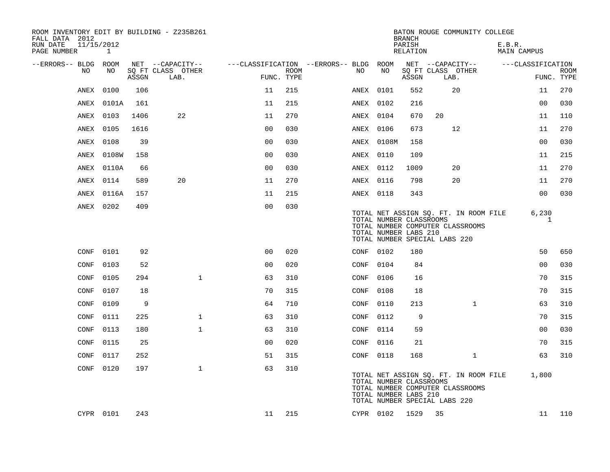| ROOM INVENTORY EDIT BY BUILDING - Z235B261<br>FALL DATA 2012<br>11/15/2012<br>RUN DATE |            |       |                                       |                |             |                                              |            | <b>BRANCH</b><br>PARISH                          | BATON ROUGE COMMUNITY COLLEGE                                                                              |              |                              |             |
|----------------------------------------------------------------------------------------|------------|-------|---------------------------------------|----------------|-------------|----------------------------------------------|------------|--------------------------------------------------|------------------------------------------------------------------------------------------------------------|--------------|------------------------------|-------------|
| PAGE NUMBER                                                                            | 1          |       |                                       |                |             |                                              |            | RELATION                                         |                                                                                                            |              | E.B.R.<br><b>MAIN CAMPUS</b> |             |
| --ERRORS-- BLDG ROOM<br>NO                                                             | NO         |       | NET --CAPACITY--<br>SQ FT CLASS OTHER |                | <b>ROOM</b> | ---CLASSIFICATION --ERRORS-- BLDG ROOM<br>NO | NO         |                                                  | NET --CAPACITY--<br>SQ FT CLASS OTHER                                                                      |              | ---CLASSIFICATION            | <b>ROOM</b> |
|                                                                                        |            | ASSGN | LAB.                                  | FUNC. TYPE     |             |                                              |            | ASSGN                                            | LAB.                                                                                                       |              |                              | FUNC. TYPE  |
| ANEX                                                                                   | 0100       | 106   |                                       | 11             | 215         |                                              | ANEX 0101  | 552                                              | 20                                                                                                         |              | 11                           | 270         |
| ANEX                                                                                   | 0101A      | 161   |                                       | 11             | 215         |                                              | ANEX 0102  | 216                                              |                                                                                                            |              | 0 <sub>0</sub>               | 030         |
|                                                                                        | ANEX 0103  | 1406  | 22                                    | 11             | 270         |                                              | ANEX 0104  | 670                                              | 20                                                                                                         |              | 11                           | 110         |
| ANEX                                                                                   | 0105       | 1616  |                                       | 0 <sub>0</sub> | 030         |                                              | ANEX 0106  | 673                                              | 12                                                                                                         |              | 11                           | 270         |
| ANEX                                                                                   | 0108       | 39    |                                       | 00             | 030         |                                              | ANEX 0108M | 158                                              |                                                                                                            |              | 0 <sub>0</sub>               | 030         |
| ANEX                                                                                   | 0108W      | 158   |                                       | 0 <sub>0</sub> | 030         |                                              | ANEX 0110  | 109                                              |                                                                                                            |              | 11                           | 215         |
|                                                                                        | ANEX 0110A | 66    |                                       | 0 <sub>0</sub> | 030         |                                              | ANEX 0112  | 1009                                             | 20                                                                                                         |              | 11                           | 270         |
| ANEX                                                                                   | 0114       | 589   | 20                                    | 11             | 270         |                                              | ANEX 0116  | 798                                              | 20                                                                                                         |              | 11                           | 270         |
| ANEX                                                                                   | 0116A      | 157   |                                       | 11             | 215         |                                              | ANEX 0118  | 343                                              |                                                                                                            |              | 0 <sub>0</sub>               | 030         |
|                                                                                        | ANEX 0202  | 409   |                                       | 0 <sub>0</sub> | 030         |                                              |            | TOTAL NUMBER CLASSROOMS<br>TOTAL NUMBER LABS 210 | TOTAL NET ASSIGN SQ. FT. IN ROOM FILE<br>TOTAL NUMBER COMPUTER CLASSROOMS<br>TOTAL NUMBER SPECIAL LABS 220 |              | 6,230                        | 1           |
| CONF                                                                                   | 0101       | 92    |                                       | 0 <sub>0</sub> | 020         |                                              | CONF 0102  | 180                                              |                                                                                                            |              | 50                           | 650         |
| CONF                                                                                   | 0103       | 52    |                                       | 0 <sub>0</sub> | 020         | CONF                                         | 0104       | 84                                               |                                                                                                            |              | 00                           | 030         |
| CONF                                                                                   | 0105       | 294   | $\mathbf{1}$                          | 63             | 310         | CONF                                         | 0106       | 16                                               |                                                                                                            |              | 70                           | 315         |
| CONF                                                                                   | 0107       | 18    |                                       | 70             | 315         | CONF                                         | 0108       | 18                                               |                                                                                                            |              | 70                           | 315         |
| CONF                                                                                   | 0109       | 9     |                                       | 64             | 710         | CONF                                         | 0110       | 213                                              |                                                                                                            | $\mathbf{1}$ | 63                           | 310         |
| CONF                                                                                   | 0111       | 225   | $\mathbf 1$                           | 63             | 310         | CONF                                         | 0112       | 9                                                |                                                                                                            |              | 70                           | 315         |
| CONF                                                                                   | 0113       | 180   | $\mathbf{1}$                          | 63             | 310         | CONF                                         | 0114       | 59                                               |                                                                                                            |              | 0 <sub>0</sub>               | 030         |
| CONF                                                                                   | 0115       | 25    |                                       | 0 <sub>0</sub> | 020         | CONF                                         | 0116       | 21                                               |                                                                                                            |              | 70                           | 315         |
| CONF                                                                                   | 0117       | 252   |                                       | 51             | 315         | CONF                                         | 0118       | 168                                              |                                                                                                            | $\mathbf{1}$ | 63                           | 310         |
|                                                                                        | CONF 0120  | 197   | $\mathbf{1}$                          | 63             | 310         |                                              |            | TOTAL NUMBER CLASSROOMS<br>TOTAL NUMBER LABS 210 | TOTAL NET ASSIGN SQ. FT. IN ROOM FILE<br>TOTAL NUMBER COMPUTER CLASSROOMS<br>TOTAL NUMBER SPECIAL LABS 220 |              | 1,800                        |             |
|                                                                                        | CYPR 0101  | 243   |                                       | 11             | 215         |                                              | CYPR 0102  | 1529                                             | 35                                                                                                         |              | 11                           | 110         |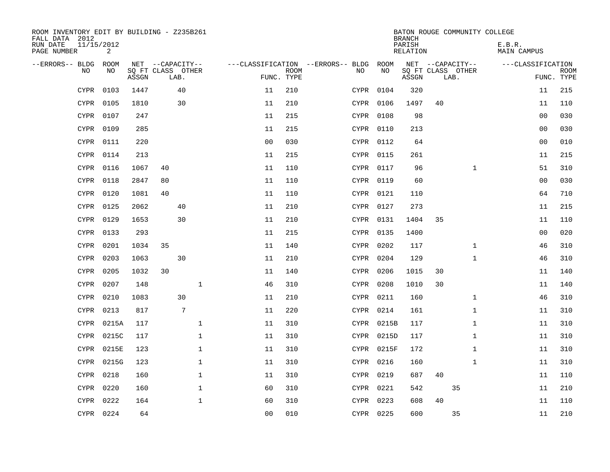| ROOM INVENTORY EDIT BY BUILDING - Z235B261<br>FALL DATA 2012 |           |                            |                  |                 |              |                |                           |                                        |            | <b>BRANCH</b>      |    |                           | BATON ROUGE COMMUNITY COLLEGE |                |                           |
|--------------------------------------------------------------|-----------|----------------------------|------------------|-----------------|--------------|----------------|---------------------------|----------------------------------------|------------|--------------------|----|---------------------------|-------------------------------|----------------|---------------------------|
| 11/15/2012<br>RUN DATE<br>PAGE NUMBER                        | 2         |                            |                  |                 |              |                |                           |                                        |            | PARISH<br>RELATION |    |                           | E.B.R.<br>MAIN CAMPUS         |                |                           |
| --ERRORS-- BLDG ROOM                                         |           |                            | NET --CAPACITY-- |                 |              |                |                           | ---CLASSIFICATION --ERRORS-- BLDG ROOM |            |                    |    | NET --CAPACITY--          | ---CLASSIFICATION             |                |                           |
| NO                                                           | NO        | SQ FT CLASS OTHER<br>ASSGN |                  | LAB.            |              |                | <b>ROOM</b><br>FUNC. TYPE | NO                                     | NO         | ASSGN              |    | SQ FT CLASS OTHER<br>LAB. |                               |                | <b>ROOM</b><br>FUNC. TYPE |
| <b>CYPR</b>                                                  | 0103      | 1447                       |                  | 40              |              | 11             | 210                       |                                        | CYPR 0104  | 320                |    |                           |                               | 11             | 215                       |
| <b>CYPR</b>                                                  | 0105      | 1810                       |                  | 30              |              | 11             | 210                       |                                        | CYPR 0106  | 1497               | 40 |                           |                               | 11             | 110                       |
|                                                              | CYPR 0107 | 247                        |                  |                 |              | 11             | 215                       |                                        | CYPR 0108  | 98                 |    |                           |                               | 00             | 030                       |
| <b>CYPR</b>                                                  | 0109      | 285                        |                  |                 |              | 11             | 215                       |                                        | CYPR 0110  | 213                |    |                           |                               | 0 <sub>0</sub> | 030                       |
|                                                              | CYPR 0111 | 220                        |                  |                 |              | 0 <sub>0</sub> | 030                       |                                        | CYPR 0112  | 64                 |    |                           |                               | 00             | 010                       |
|                                                              | CYPR 0114 | 213                        |                  |                 |              | 11             | 215                       |                                        | CYPR 0115  | 261                |    |                           |                               | 11             | 215                       |
|                                                              | CYPR 0116 | 1067                       | 40               |                 |              | 11             | 110                       |                                        | CYPR 0117  | 96                 |    | $\mathbf{1}$              |                               | 51             | 310                       |
| <b>CYPR</b>                                                  | 0118      | 2847                       | 80               |                 |              | 11             | 110                       |                                        | CYPR 0119  | 60                 |    |                           |                               | 0 <sub>0</sub> | 030                       |
| <b>CYPR</b>                                                  | 0120      | 1081                       | 40               |                 |              | 11             | 110                       |                                        | CYPR 0121  | 110                |    |                           |                               | 64             | 710                       |
|                                                              | CYPR 0125 | 2062                       |                  | 40              |              | 11             | 210                       |                                        | CYPR 0127  | 273                |    |                           |                               | 11             | 215                       |
| CYPR                                                         | 0129      | 1653                       |                  | 30              |              | 11             | 210                       |                                        | CYPR 0131  | 1404               | 35 |                           |                               | 11             | 110                       |
|                                                              | CYPR 0133 | 293                        |                  |                 |              | 11             | 215                       |                                        | CYPR 0135  | 1400               |    |                           |                               | 0 <sub>0</sub> | 020                       |
| CYPR                                                         | 0201      | 1034                       | 35               |                 |              | 11             | 140                       |                                        | CYPR 0202  | 117                |    | $\mathbf{1}$              |                               | 46             | 310                       |
|                                                              | CYPR 0203 | 1063                       |                  | 30              |              | 11             | 210                       |                                        | CYPR 0204  | 129                |    | $\mathbf{1}$              |                               | 46             | 310                       |
| CYPR                                                         | 0205      | 1032                       | 30               |                 |              | 11             | 140                       |                                        | CYPR 0206  | 1015               | 30 |                           |                               | 11             | 140                       |
|                                                              | CYPR 0207 | 148                        |                  |                 | $\mathbf 1$  | 46             | 310                       |                                        | CYPR 0208  | 1010               | 30 |                           |                               | 11             | 140                       |
| CYPR                                                         | 0210      | 1083                       |                  | 30              |              | 11             | 210                       |                                        | CYPR 0211  | 160                |    | $\mathbf{1}$              |                               | 46             | 310                       |
| CYPR                                                         | 0213      | 817                        |                  | $7\phantom{.0}$ |              | 11             | 220                       |                                        | CYPR 0214  | 161                |    | $\mathbf{1}$              |                               | 11             | 310                       |
| CYPR                                                         | 0215A     | 117                        |                  |                 | $\mathbf 1$  | 11             | 310                       |                                        | CYPR 0215B | 117                |    | $\mathbf{1}$              |                               | 11             | 310                       |
| CYPR                                                         | 0215C     | 117                        |                  |                 | 1            | 11             | 310                       |                                        | CYPR 0215D | 117                |    | $\mathbf{1}$              |                               | 11             | 310                       |
| <b>CYPR</b>                                                  | 0215E     | 123                        |                  |                 | $\mathbf 1$  | 11             | 310                       |                                        | CYPR 0215F | 172                |    | $\mathbf{1}$              |                               | 11             | 310                       |
| <b>CYPR</b>                                                  | 0215G     | 123                        |                  |                 | $\mathbf{1}$ | 11             | 310                       |                                        | CYPR 0216  | 160                |    | $\mathbf{1}$              |                               | 11             | 310                       |
| <b>CYPR</b>                                                  | 0218      | 160                        |                  |                 | $\mathbf{1}$ | 11             | 310                       |                                        | CYPR 0219  | 687                | 40 |                           |                               | 11             | 110                       |
| <b>CYPR</b>                                                  | 0220      | 160                        |                  |                 | $\mathbf 1$  | 60             | 310                       |                                        | CYPR 0221  | 542                |    | 35                        |                               | 11             | 210                       |
| <b>CYPR</b>                                                  | 0222      | 164                        |                  |                 | $\mathbf{1}$ | 60             | 310                       |                                        | CYPR 0223  | 608                | 40 |                           |                               | 11             | 110                       |
|                                                              | CYPR 0224 | 64                         |                  |                 |              | 0 <sub>0</sub> | 010                       |                                        | CYPR 0225  | 600                |    | 35                        |                               | 11             | 210                       |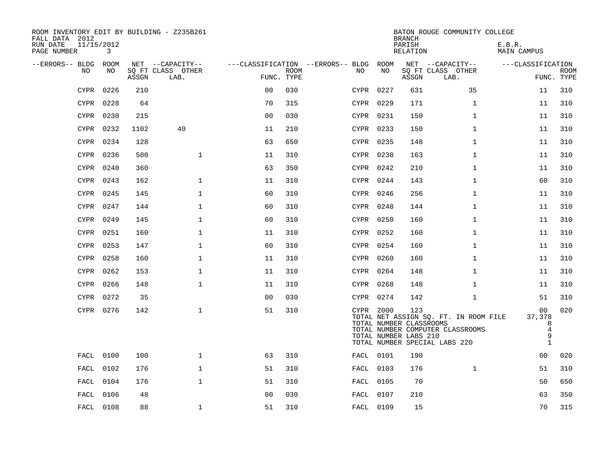| ROOM INVENTORY EDIT BY BUILDING - Z235B261<br>FALL DATA 2012<br>RUN DATE | 11/15/2012 |       |                                               |                |             |                                              |           | <b>BRANCH</b><br>PARISH                                 | BATON ROUGE COMMUNITY COLLEGE                                                                              | E.B.R.                                                   |                           |
|--------------------------------------------------------------------------|------------|-------|-----------------------------------------------|----------------|-------------|----------------------------------------------|-----------|---------------------------------------------------------|------------------------------------------------------------------------------------------------------------|----------------------------------------------------------|---------------------------|
| PAGE NUMBER                                                              | 3          |       |                                               |                |             |                                              |           | RELATION                                                |                                                                                                            | MAIN CAMPUS                                              |                           |
| --ERRORS-- BLDG ROOM<br>NO                                               | NO         | ASSGN | NET --CAPACITY--<br>SQ FT CLASS OTHER<br>LAB. | FUNC. TYPE     | <b>ROOM</b> | ---CLASSIFICATION --ERRORS-- BLDG ROOM<br>NO | NO        | ASSGN                                                   | NET --CAPACITY--<br>SQ FT CLASS OTHER<br>LAB.                                                              | ---CLASSIFICATION                                        | <b>ROOM</b><br>FUNC. TYPE |
| <b>CYPR</b>                                                              | 0226       | 210   |                                               | 0 <sub>0</sub> | 030         |                                              | CYPR 0227 | 631                                                     | 35                                                                                                         | 11                                                       | 310                       |
|                                                                          | CYPR 0228  | 64    |                                               | 70             | 315         |                                              | CYPR 0229 | 171                                                     | $\mathbf{1}$                                                                                               | 11                                                       | 310                       |
|                                                                          | CYPR 0230  | 215   |                                               | 0 <sub>0</sub> | 030         |                                              | CYPR 0231 | 150                                                     | $\mathbf{1}$                                                                                               | 11                                                       | 310                       |
|                                                                          | CYPR 0232  | 1102  | 40                                            | 11             | 210         |                                              | CYPR 0233 | 150                                                     | $\mathbf{1}$                                                                                               | 11                                                       | 310                       |
|                                                                          | CYPR 0234  | 128   |                                               | 63             | 650         |                                              | CYPR 0235 | 148                                                     | $\mathbf{1}$                                                                                               | 11                                                       | 310                       |
|                                                                          | CYPR 0236  | 500   | $\mathbf{1}$                                  | 11             | 310         |                                              | CYPR 0238 | 163                                                     | $\mathbf{1}$                                                                                               | 11                                                       | 310                       |
|                                                                          | CYPR 0240  | 360   |                                               | 63             | 350         |                                              | CYPR 0242 | 210                                                     | $\mathbf{1}$                                                                                               | 11                                                       | 310                       |
|                                                                          | CYPR 0243  | 162   | $\mathbf 1$                                   | 11             | 310         |                                              | CYPR 0244 | 143                                                     | $\mathbf{1}$                                                                                               | 60                                                       | 310                       |
|                                                                          | CYPR 0245  | 145   | $\mathbf 1$                                   | 60             | 310         |                                              | CYPR 0246 | 256                                                     | $\mathbf{1}$                                                                                               | 11                                                       | 310                       |
|                                                                          | CYPR 0247  | 144   | $\mathbf 1$                                   | 60             | 310         |                                              | CYPR 0248 | 144                                                     | $\mathbf{1}$                                                                                               | 11                                                       | 310                       |
|                                                                          | CYPR 0249  | 145   | $\mathbf 1$                                   | 60             | 310         |                                              | CYPR 0250 | 160                                                     | $\mathbf{1}$                                                                                               | 11                                                       | 310                       |
|                                                                          | CYPR 0251  | 160   | $\mathbf{1}$                                  | 11             | 310         |                                              | CYPR 0252 | 160                                                     | $\mathbf{1}$                                                                                               | 11                                                       | 310                       |
| CYPR                                                                     | 0253       | 147   | $\mathbf 1$                                   | 60             | 310         |                                              | CYPR 0254 | 160                                                     | $\mathbf{1}$                                                                                               | 11                                                       | 310                       |
|                                                                          | CYPR 0258  | 160   | $\mathbf 1$                                   | 11             | 310         |                                              | CYPR 0260 | 160                                                     | $\mathbf{1}$                                                                                               | 11                                                       | 310                       |
|                                                                          | CYPR 0262  | 153   | $\mathbf{1}$                                  | 11             | 310         |                                              | CYPR 0264 | 148                                                     | $\mathbf{1}$                                                                                               | 11                                                       | 310                       |
|                                                                          | CYPR 0266  | 148   | $\mathbf 1$                                   | 11             | 310         |                                              | CYPR 0268 | 148                                                     | $\mathbf{1}$                                                                                               | 11                                                       | 310                       |
| CYPR                                                                     | 0272       | 35    |                                               | 0 <sub>0</sub> | 030         |                                              | CYPR 0274 | 142                                                     | $\mathbf{1}$                                                                                               | 51                                                       | 310                       |
|                                                                          | CYPR 0276  | 142   | $\mathbf 1$                                   | 51             | 310         |                                              | CYPR 2000 | 123<br>TOTAL NUMBER CLASSROOMS<br>TOTAL NUMBER LABS 210 | TOTAL NET ASSIGN SQ. FT. IN ROOM FILE<br>TOTAL NUMBER COMPUTER CLASSROOMS<br>TOTAL NUMBER SPECIAL LABS 220 | 00<br>37,378<br>8<br>$\overline{4}$<br>9<br>$\mathbf{1}$ | 020                       |
|                                                                          | FACL 0100  | 100   | $\mathbf 1$                                   | 63             | 310         |                                              | FACL 0101 | 190                                                     |                                                                                                            | 00                                                       | 020                       |
|                                                                          | FACL 0102  | 176   | $\mathbf 1$                                   | 51             | 310         |                                              | FACL 0103 | 176                                                     | $\mathbf{1}$                                                                                               | 51                                                       | 310                       |
|                                                                          | FACL 0104  | 176   | $\mathbf{1}$                                  | 51             | 310         |                                              | FACL 0105 | 70                                                      |                                                                                                            | 50                                                       | 650                       |
| FACL                                                                     | 0106       | 48    |                                               | 0 <sub>0</sub> | 030         |                                              | FACL 0107 | 210                                                     |                                                                                                            | 63                                                       | 350                       |
|                                                                          | FACL 0108  | 88    | $\mathbf 1$                                   | 51             | 310         |                                              | FACL 0109 | 15                                                      |                                                                                                            | 70                                                       | 315                       |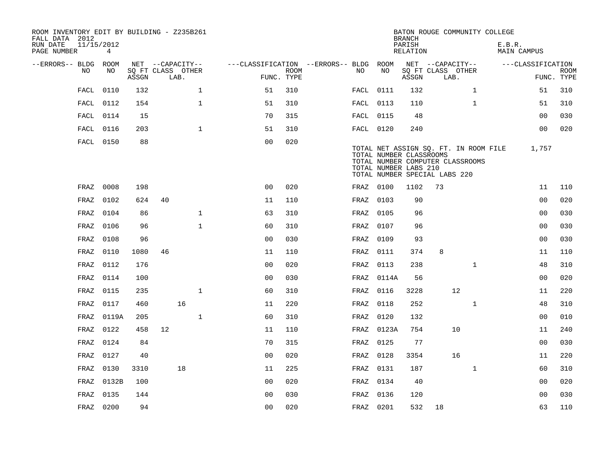| ROOM INVENTORY EDIT BY BUILDING - Z235B261<br>FALL DATA 2012 |                              |       |    |                                       |                                        |             |           |                                                  | <b>BRANCH</b>      |                                       |                                                                           | BATON ROUGE COMMUNITY COLLEGE |                   |             |
|--------------------------------------------------------------|------------------------------|-------|----|---------------------------------------|----------------------------------------|-------------|-----------|--------------------------------------------------|--------------------|---------------------------------------|---------------------------------------------------------------------------|-------------------------------|-------------------|-------------|
| RUN DATE<br>PAGE NUMBER                                      | 11/15/2012<br>$\overline{4}$ |       |    |                                       |                                        |             |           |                                                  | PARISH<br>RELATION |                                       |                                                                           | E.B.R.                        | MAIN CAMPUS       |             |
| --ERRORS-- BLDG ROOM<br>NO                                   | NO                           |       |    | NET --CAPACITY--<br>SQ FT CLASS OTHER | ---CLASSIFICATION --ERRORS-- BLDG ROOM | <b>ROOM</b> | NO.       | NO                                               |                    | NET --CAPACITY--<br>SQ FT CLASS OTHER |                                                                           |                               | ---CLASSIFICATION | <b>ROOM</b> |
|                                                              |                              | ASSGN |    | LAB.                                  |                                        | FUNC. TYPE  |           |                                                  | ASSGN              | LAB.                                  |                                                                           |                               |                   | FUNC. TYPE  |
| FACL                                                         | 0110                         | 132   |    | $\mathbf{1}$                          | 51                                     | 310         | FACL 0111 |                                                  | 132                |                                       | $\mathbf{1}$                                                              |                               | 51                | 310         |
|                                                              | FACL 0112                    | 154   |    | $\mathbf{1}$                          | 51                                     | 310         | FACL 0113 |                                                  | 110                |                                       | $\mathbf{1}$                                                              |                               | 51                | 310         |
|                                                              | FACL 0114                    | 15    |    |                                       | 70                                     | 315         | FACL 0115 |                                                  | 48                 |                                       |                                                                           |                               | 0 <sub>0</sub>    | 030         |
| FACL                                                         | 0116                         | 203   |    | $\mathbf{1}$                          | 51                                     | 310         | FACL 0120 |                                                  | 240                |                                       |                                                                           |                               | 0 <sub>0</sub>    | 020         |
|                                                              | FACL 0150                    | 88    |    |                                       | 0 <sub>0</sub>                         | 020         |           | TOTAL NUMBER CLASSROOMS<br>TOTAL NUMBER LABS 210 |                    | TOTAL NUMBER SPECIAL LABS 220         | TOTAL NET ASSIGN SQ. FT. IN ROOM FILE<br>TOTAL NUMBER COMPUTER CLASSROOMS |                               | 1,757             |             |
| FRAZ                                                         | 0008                         | 198   |    |                                       | 0 <sup>0</sup>                         | 020         | FRAZ 0100 |                                                  | 1102               | 73                                    |                                                                           |                               | 11                | 110         |
| FRAZ                                                         | 0102                         | 624   | 40 |                                       | 11                                     | 110         | FRAZ      | 0103                                             | 90                 |                                       |                                                                           |                               | 0 <sub>0</sub>    | 020         |
| FRAZ                                                         | 0104                         | 86    |    | $\mathbf{1}$                          | 63                                     | 310         | FRAZ      | 0105                                             | 96                 |                                       |                                                                           |                               | 0 <sub>0</sub>    | 030         |
| FRAZ                                                         | 0106                         | 96    |    | $\mathbf{1}$                          | 60                                     | 310         | FRAZ      | 0107                                             | 96                 |                                       |                                                                           |                               | 0 <sub>0</sub>    | 030         |
| FRAZ                                                         | 0108                         | 96    |    |                                       | 0 <sub>0</sub>                         | 030         | FRAZ      | 0109                                             | 93                 |                                       |                                                                           |                               | 0 <sub>0</sub>    | 030         |
| FRAZ                                                         | 0110                         | 1080  | 46 |                                       | 11                                     | 110         | FRAZ      | 0111                                             | 374                | 8                                     |                                                                           |                               | 11                | 110         |
| FRAZ                                                         | 0112                         | 176   |    |                                       | 0 <sub>0</sub>                         | 020         | FRAZ      | 0113                                             | 238                |                                       | $\mathbf{1}$                                                              |                               | 48                | 310         |
| FRAZ                                                         | 0114                         | 100   |    |                                       | 00                                     | 030         | FRAZ      | 0114A                                            | 56                 |                                       |                                                                           |                               | 0 <sub>0</sub>    | 020         |
| FRAZ                                                         | 0115                         | 235   |    | $\mathbf{1}$                          | 60                                     | 310         | FRAZ      | 0116                                             | 3228               |                                       | 12                                                                        |                               | 11                | 220         |
| FRAZ                                                         | 0117                         | 460   |    | 16                                    | 11                                     | 220         | FRAZ      | 0118                                             | 252                |                                       | $\mathbf{1}$                                                              |                               | 48                | 310         |
| FRAZ                                                         | 0119A                        | 205   |    | $\mathbf{1}$                          | 60                                     | 310         | FRAZ      | 0120                                             | 132                |                                       |                                                                           |                               | 0 <sub>0</sub>    | 010         |
| FRAZ                                                         | 0122                         | 458   | 12 |                                       | 11                                     | 110         |           | FRAZ 0123A                                       | 754                |                                       | 10                                                                        |                               | 11                | 240         |
| FRAZ                                                         | 0124                         | 84    |    |                                       | 70                                     | 315         | FRAZ      | 0125                                             | 77                 |                                       |                                                                           |                               | 0 <sub>0</sub>    | 030         |
| FRAZ                                                         | 0127                         | 40    |    |                                       | 0 <sub>0</sub>                         | 020         | FRAZ      | 0128                                             | 3354               |                                       | 16                                                                        |                               | 11                | 220         |
| FRAZ                                                         | 0130                         | 3310  |    | 18                                    | 11                                     | 225         | FRAZ      | 0131                                             | 187                |                                       | $\mathbf{1}$                                                              |                               | 60                | 310         |
| FRAZ                                                         | 0132B                        | 100   |    |                                       | 0 <sub>0</sub>                         | 020         | FRAZ      | 0134                                             | 40                 |                                       |                                                                           |                               | 00                | 020         |
| FRAZ                                                         | 0135                         | 144   |    |                                       | 0 <sub>0</sub>                         | 030         | FRAZ      | 0136                                             | 120                |                                       |                                                                           |                               | 0 <sub>0</sub>    | 030         |
|                                                              | FRAZ 0200                    | 94    |    |                                       | 0 <sub>0</sub>                         | 020         | FRAZ 0201 |                                                  | 532                | 18                                    |                                                                           |                               | 63                | 110         |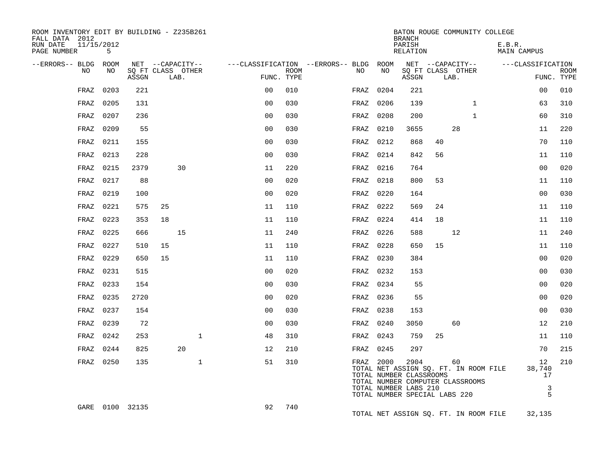| ROOM INVENTORY EDIT BY BUILDING - Z235B261<br>FALL DATA 2012 |      |                 |                   |      |             |                |      |                                        |           |      | <b>BRANCH</b>                                                                             |    |                                                                                 | BATON ROUGE COMMUNITY COLLEGE         |                              |             |
|--------------------------------------------------------------|------|-----------------|-------------------|------|-------------|----------------|------|----------------------------------------|-----------|------|-------------------------------------------------------------------------------------------|----|---------------------------------------------------------------------------------|---------------------------------------|------------------------------|-------------|
| RUN DATE<br>11/15/2012<br>PAGE NUMBER                        | 5    |                 |                   |      |             |                |      |                                        |           |      | PARISH<br>RELATION                                                                        |    |                                                                                 | E.B.R.<br>MAIN CAMPUS                 |                              |             |
| --ERRORS-- BLDG ROOM                                         |      |                 | NET --CAPACITY--  |      |             |                |      | ---CLASSIFICATION --ERRORS-- BLDG ROOM |           |      |                                                                                           |    | NET --CAPACITY--                                                                |                                       | ---CLASSIFICATION            |             |
| NO.                                                          | NO.  | ASSGN           | SO FT CLASS OTHER | LAB. |             | FUNC. TYPE     | ROOM |                                        | NO        | NO   | ASSGN                                                                                     |    | SQ FT CLASS OTHER<br>LAB.                                                       |                                       | FUNC. TYPE                   | <b>ROOM</b> |
| FRAZ                                                         | 0203 | 221             |                   |      |             | 0 <sup>0</sup> | 010  |                                        | FRAZ      | 0204 | 221                                                                                       |    |                                                                                 |                                       | 0 <sub>0</sub>               | 010         |
| FRAZ                                                         | 0205 | 131             |                   |      |             | 0 <sub>0</sub> | 030  |                                        | FRAZ      | 0206 | 139                                                                                       |    | $\mathbf{1}$                                                                    |                                       | 63                           | 310         |
| FRAZ                                                         | 0207 | 236             |                   |      |             | 0 <sub>0</sub> | 030  |                                        | FRAZ      | 0208 | 200                                                                                       |    | $\mathbf{1}$                                                                    |                                       | 60                           | 310         |
| FRAZ                                                         | 0209 | 55              |                   |      |             | 0 <sub>0</sub> | 030  |                                        | FRAZ      | 0210 | 3655                                                                                      |    | 28                                                                              |                                       | 11                           | 220         |
| FRAZ                                                         | 0211 | 155             |                   |      |             | 00             | 030  |                                        | FRAZ      | 0212 | 868                                                                                       | 40 |                                                                                 |                                       | 70                           | 110         |
| FRAZ                                                         | 0213 | 228             |                   |      |             | 0 <sub>0</sub> | 030  |                                        | FRAZ      | 0214 | 842                                                                                       | 56 |                                                                                 |                                       | 11                           | 110         |
| FRAZ                                                         | 0215 | 2379            |                   | 30   |             | 11             | 220  |                                        | FRAZ      | 0216 | 764                                                                                       |    |                                                                                 |                                       | 0 <sub>0</sub>               | 020         |
| FRAZ                                                         | 0217 | 88              |                   |      |             | 0 <sub>0</sub> | 020  |                                        | FRAZ      | 0218 | 800                                                                                       | 53 |                                                                                 |                                       | 11                           | 110         |
| FRAZ                                                         | 0219 | 100             |                   |      |             | 0 <sub>0</sub> | 020  |                                        | FRAZ      | 0220 | 164                                                                                       |    |                                                                                 |                                       | 0 <sub>0</sub>               | 030         |
| FRAZ                                                         | 0221 | 575             | 25                |      |             | 11             | 110  |                                        | FRAZ      | 0222 | 569                                                                                       | 24 |                                                                                 |                                       | 11                           | 110         |
| FRAZ                                                         | 0223 | 353             | 18                |      |             | 11             | 110  |                                        | FRAZ      | 0224 | 414                                                                                       | 18 |                                                                                 |                                       | 11                           | 110         |
| FRAZ                                                         | 0225 | 666             |                   | 15   |             | 11             | 240  |                                        | FRAZ      | 0226 | 588                                                                                       |    | 12                                                                              |                                       | 11                           | 240         |
| FRAZ                                                         | 0227 | 510             | 15                |      |             | 11             | 110  |                                        | FRAZ      | 0228 | 650                                                                                       | 15 |                                                                                 |                                       | 11                           | 110         |
| FRAZ                                                         | 0229 | 650             | 15                |      |             | 11             | 110  |                                        | FRAZ      | 0230 | 384                                                                                       |    |                                                                                 |                                       | 0 <sub>0</sub>               | 020         |
| FRAZ                                                         | 0231 | 515             |                   |      |             | 0 <sub>0</sub> | 020  |                                        | FRAZ      | 0232 | 153                                                                                       |    |                                                                                 |                                       | 0 <sub>0</sub>               | 030         |
| FRAZ                                                         | 0233 | 154             |                   |      |             | 0 <sub>0</sub> | 030  |                                        | FRAZ 0234 |      | 55                                                                                        |    |                                                                                 |                                       | 0 <sub>0</sub>               | 020         |
| FRAZ                                                         | 0235 | 2720            |                   |      |             | 0 <sub>0</sub> | 020  |                                        | FRAZ      | 0236 | 55                                                                                        |    |                                                                                 |                                       | 0 <sub>0</sub>               | 020         |
| FRAZ                                                         | 0237 | 154             |                   |      |             | 0 <sub>0</sub> | 030  |                                        | FRAZ      | 0238 | 153                                                                                       |    |                                                                                 |                                       | 0 <sub>0</sub>               | 030         |
| FRAZ                                                         | 0239 | 72              |                   |      |             | 0 <sub>0</sub> | 030  |                                        | FRAZ      | 0240 | 3050                                                                                      |    | 60                                                                              |                                       | 12                           | 210         |
| FRAZ                                                         | 0242 | 253             |                   |      | $\mathbf 1$ | 48             | 310  |                                        | FRAZ 0243 |      | 759                                                                                       | 25 |                                                                                 |                                       | 11                           | 110         |
| FRAZ                                                         | 0244 | 825             |                   | 20   |             | 12             | 210  |                                        | FRAZ 0245 |      | 297                                                                                       |    |                                                                                 |                                       | 70                           | 215         |
| FRAZ                                                         | 0250 | 135             |                   |      | $\mathbf 1$ | 51             | 310  |                                        | FRAZ 2000 |      | 2904<br>TOTAL NUMBER CLASSROOMS<br>TOTAL NUMBER LABS 210<br>TOTAL NUMBER SPECIAL LABS 220 |    | 60<br>TOTAL NET ASSIGN SQ. FT. IN ROOM FILE<br>TOTAL NUMBER COMPUTER CLASSROOMS |                                       | 12<br>38,740<br>17<br>3<br>5 | 210         |
|                                                              |      | GARE 0100 32135 |                   |      |             | 92             | 740  |                                        |           |      |                                                                                           |    |                                                                                 | TOTAL NET ASSIGN SQ. FT. IN ROOM FILE | 32,135                       |             |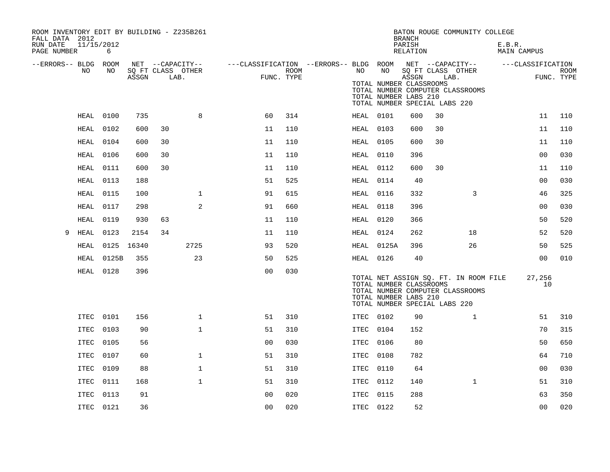| ROOM INVENTORY EDIT BY BUILDING - Z235B261<br>FALL DATA 2012 |                 |            |                                       |              |                                                         |      |           |                                                  | <b>BRANCH</b>      |                                                                           | BATON ROUGE COMMUNITY COLLEGE         |                       |                |             |
|--------------------------------------------------------------|-----------------|------------|---------------------------------------|--------------|---------------------------------------------------------|------|-----------|--------------------------------------------------|--------------------|---------------------------------------------------------------------------|---------------------------------------|-----------------------|----------------|-------------|
| RUN DATE<br>PAGE NUMBER                                      | 11/15/2012<br>6 |            |                                       |              |                                                         |      |           |                                                  | PARISH<br>RELATION |                                                                           |                                       | E.B.R.<br>MAIN CAMPUS |                |             |
| --ERRORS-- BLDG ROOM<br>NO                                   | NO              |            | NET --CAPACITY--<br>SQ FT CLASS OTHER |              | ---CLASSIFICATION --ERRORS-- BLDG ROOM NET --CAPACITY-- | ROOM | NO        | NO                                               |                    | SQ FT CLASS OTHER                                                         |                                       | ---CLASSIFICATION     |                | <b>ROOM</b> |
|                                                              |                 | ASSGN      | LAB.                                  |              | FUNC. TYPE                                              |      |           | TOTAL NUMBER CLASSROOMS<br>TOTAL NUMBER LABS 210 | ASSGN              | LAB.<br>TOTAL NUMBER COMPUTER CLASSROOMS<br>TOTAL NUMBER SPECIAL LABS 220 |                                       |                       |                | FUNC. TYPE  |
| HEAL                                                         | 0100            | 735        |                                       | 8            | 60                                                      | 314  | HEAL 0101 |                                                  | 600                | 30                                                                        |                                       |                       | 11             | 110         |
| HEAL                                                         | 0102            | 600        | 30                                    |              | 11                                                      | 110  | HEAL      | 0103                                             | 600                | 30                                                                        |                                       |                       | 11             | 110         |
| HEAL                                                         | 0104            | 600        | 30                                    |              | 11                                                      | 110  | HEAL 0105 |                                                  | 600                | 30                                                                        |                                       |                       | 11             | 110         |
| HEAL                                                         | 0106            | 600        | 30                                    |              | 11                                                      | 110  | HEAL      | 0110                                             | 396                |                                                                           |                                       |                       | 0 <sub>0</sub> | 030         |
| <b>HEAL</b>                                                  | 0111            | 600        | 30                                    |              | 11                                                      | 110  | HEAL 0112 |                                                  | 600                | 30                                                                        |                                       |                       | 11             | 110         |
| <b>HEAL</b>                                                  | 0113            | 188        |                                       |              | 51                                                      | 525  | HEAL      | 0114                                             | 40                 |                                                                           |                                       |                       | 0 <sub>0</sub> | 030         |
| HEAL                                                         | 0115            | 100        |                                       | $\mathbf 1$  | 91                                                      | 615  | HEAL 0116 |                                                  | 332                |                                                                           | 3                                     |                       | 46             | 325         |
| HEAL                                                         | 0117            | 298        |                                       | 2            | 91                                                      | 660  | HEAL      | 0118                                             | 396                |                                                                           |                                       |                       | 0 <sub>0</sub> | 030         |
| <b>HEAL</b>                                                  | 0119            | 930        | 63                                    |              | 11                                                      | 110  | HEAL 0120 |                                                  | 366                |                                                                           |                                       |                       | 50             | 520         |
| <b>HEAL</b><br>9                                             | 0123            | 2154       | 34                                    |              | 11                                                      | 110  | HEAL 0124 |                                                  | 262                |                                                                           | 18                                    |                       | 52             | 520         |
| HEAL                                                         |                 | 0125 16340 |                                       | 2725         | 93                                                      | 520  |           | HEAL 0125A                                       | 396                |                                                                           | 26                                    |                       | 50             | 525         |
| HEAL                                                         | 0125B           | 355        |                                       | 23           | 50                                                      | 525  | HEAL 0126 |                                                  | 40                 |                                                                           |                                       |                       | 0 <sub>0</sub> | 010         |
|                                                              | HEAL 0128       | 396        |                                       |              | 0 <sub>0</sub>                                          | 030  |           | TOTAL NUMBER CLASSROOMS<br>TOTAL NUMBER LABS 210 |                    | TOTAL NUMBER COMPUTER CLASSROOMS<br>TOTAL NUMBER SPECIAL LABS 220         | TOTAL NET ASSIGN SQ. FT. IN ROOM FILE | 27,256                | 10             |             |
|                                                              | ITEC 0101       | 156        |                                       | $\mathbf 1$  | 51                                                      | 310  | ITEC 0102 |                                                  | 90                 |                                                                           | $\mathbf{1}$                          |                       | 51             | 310         |
|                                                              | ITEC 0103       | 90         |                                       | $\mathbf 1$  | 51                                                      | 310  | ITEC 0104 |                                                  | 152                |                                                                           |                                       |                       | 70             | 315         |
| ITEC                                                         | 0105            | 56         |                                       |              | 0 <sub>0</sub>                                          | 030  | ITEC      | 0106                                             | 80                 |                                                                           |                                       |                       | 50             | 650         |
|                                                              | ITEC 0107       | 60         |                                       | $\mathbf{1}$ | 51                                                      | 310  | ITEC 0108 |                                                  | 782                |                                                                           |                                       |                       | 64             | 710         |
|                                                              | ITEC 0109       | 88         |                                       | $\mathbf{1}$ | 51                                                      | 310  | ITEC 0110 |                                                  | 64                 |                                                                           |                                       |                       | 00             | 030         |
| ITEC                                                         | 0111            | 168        |                                       | $\mathbf{1}$ | 51                                                      | 310  | ITEC 0112 |                                                  | 140                |                                                                           | $\mathbf{1}$                          |                       | 51             | 310         |
| ITEC                                                         | 0113            | 91         |                                       |              | 00                                                      | 020  | ITEC      | 0115                                             | 288                |                                                                           |                                       |                       | 63             | 350         |
|                                                              | ITEC 0121       | 36         |                                       |              | 0 <sub>0</sub>                                          | 020  | ITEC 0122 |                                                  | 52                 |                                                                           |                                       |                       | 0 <sub>0</sub> | 020         |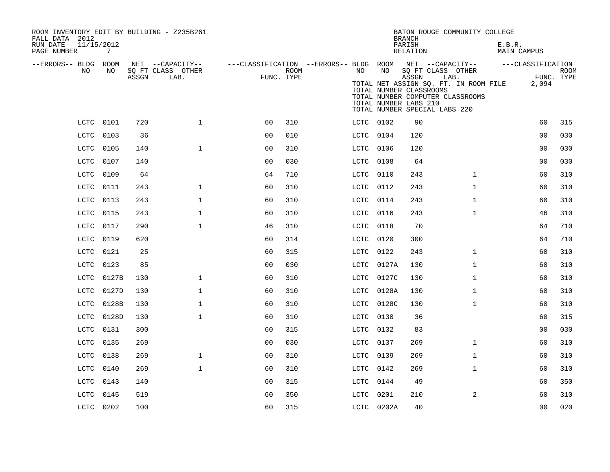| ROOM INVENTORY EDIT BY BUILDING - Z235B261<br>FALL DATA 2012<br>11/15/2012<br>RUN DATE<br>PAGE NUMBER | $7\overline{ }$ |       |                                               |                                                                       |      |           |            | BATON ROUGE COMMUNITY COLLEGE<br><b>BRANCH</b><br>PARISH<br>RELATION                                                                                                                                 |              | E.B.R.<br>MAIN CAMPUS |                     |             |
|-------------------------------------------------------------------------------------------------------|-----------------|-------|-----------------------------------------------|-----------------------------------------------------------------------|------|-----------|------------|------------------------------------------------------------------------------------------------------------------------------------------------------------------------------------------------------|--------------|-----------------------|---------------------|-------------|
| --ERRORS-- BLDG ROOM<br>NO.                                                                           | NO.             | ASSGN | NET --CAPACITY--<br>SQ FT CLASS OTHER<br>LAB. | ---CLASSIFICATION --ERRORS-- BLDG ROOM NET --CAPACITY--<br>FUNC. TYPE | ROOM | NO .      | NO         | SQ FT CLASS OTHER<br>ASSGN<br>LAB.<br>TOTAL NET ASSIGN SQ. FT. IN ROOM FILE<br>TOTAL NUMBER CLASSROOMS<br>TOTAL NUMBER COMPUTER CLASSROOMS<br>TOTAL NUMBER LABS 210<br>TOTAL NUMBER SPECIAL LABS 220 |              | ---CLASSIFICATION     | FUNC. TYPE<br>2,094 | <b>ROOM</b> |
|                                                                                                       | LCTC 0101       | 720   | $\mathbf{1}$                                  | 60                                                                    | 310  | LCTC 0102 |            | 90                                                                                                                                                                                                   |              |                       | 60                  | 315         |
| LCTC                                                                                                  | 0103            | 36    |                                               | 0 <sub>0</sub>                                                        | 010  | LCTC 0104 |            | 120                                                                                                                                                                                                  |              |                       | 00                  | 030         |
| LCTC                                                                                                  | 0105            | 140   | $\mathbf{1}$                                  | 60                                                                    | 310  | LCTC      | 0106       | 120                                                                                                                                                                                                  |              |                       | 0 <sub>0</sub>      | 030         |
| LCTC                                                                                                  | 0107            | 140   |                                               | 0 <sub>0</sub>                                                        | 030  | LCTC      | 0108       | 64                                                                                                                                                                                                   |              |                       | 00                  | 030         |
| LCTC                                                                                                  | 0109            | 64    |                                               | 64                                                                    | 710  | LCTC      | 0110       | 243                                                                                                                                                                                                  | $\mathbf{1}$ |                       | 60                  | 310         |
| LCTC                                                                                                  | 0111            | 243   | $\mathbf 1$                                   | 60                                                                    | 310  | LCTC      | 0112       | 243                                                                                                                                                                                                  | $\mathbf{1}$ |                       | 60                  | 310         |
| LCTC                                                                                                  | 0113            | 243   | $\mathbf{1}$                                  | 60                                                                    | 310  | LCTC      | 0114       | 243                                                                                                                                                                                                  | $\mathbf{1}$ |                       | 60                  | 310         |
| LCTC                                                                                                  | 0115            | 243   | $\mathbf 1$                                   | 60                                                                    | 310  | LCTC      | 0116       | 243                                                                                                                                                                                                  | $\mathbf{1}$ |                       | 46                  | 310         |
| LCTC                                                                                                  | 0117            | 290   | $\mathbf 1$                                   | 46                                                                    | 310  | LCTC      | 0118       | 70                                                                                                                                                                                                   |              |                       | 64                  | 710         |
| LCTC                                                                                                  | 0119            | 620   |                                               | 60                                                                    | 314  | LCTC      | 0120       | 300                                                                                                                                                                                                  |              |                       | 64                  | 710         |
| LCTC                                                                                                  | 0121            | 25    |                                               | 60                                                                    | 315  | LCTC      | 0122       | 243                                                                                                                                                                                                  | $\mathbf{1}$ |                       | 60                  | 310         |
| LCTC                                                                                                  | 0123            | 85    |                                               | 0 <sub>0</sub>                                                        | 030  | LCTC      | 0127A      | 130                                                                                                                                                                                                  | $\mathbf{1}$ |                       | 60                  | 310         |
| LCTC                                                                                                  | 0127B           | 130   | $\mathbf{1}$                                  | 60                                                                    | 310  | LCTC      | 0127C      | 130                                                                                                                                                                                                  | $\mathbf{1}$ |                       | 60                  | 310         |
| LCTC                                                                                                  | 0127D           | 130   | $\mathbf{1}$                                  | 60                                                                    | 310  | LCTC      | 0128A      | 130                                                                                                                                                                                                  | $\mathbf{1}$ |                       | 60                  | 310         |
| LCTC                                                                                                  | 0128B           | 130   | $\mathbf{1}$                                  | 60                                                                    | 310  | LCTC      | 0128C      | 130                                                                                                                                                                                                  | $\mathbf{1}$ |                       | 60                  | 310         |
| LCTC                                                                                                  | 0128D           | 130   | $\mathbf{1}$                                  | 60                                                                    | 310  | LCTC      | 0130       | 36                                                                                                                                                                                                   |              |                       | 60                  | 315         |
| LCTC                                                                                                  | 0131            | 300   |                                               | 60                                                                    | 315  | LCTC      | 0132       | 83                                                                                                                                                                                                   |              |                       | 0 <sub>0</sub>      | 030         |
| LCTC                                                                                                  | 0135            | 269   |                                               | 0 <sub>0</sub>                                                        | 030  | LCTC      | 0137       | 269                                                                                                                                                                                                  | $\mathbf{1}$ |                       | 60                  | 310         |
| LCTC                                                                                                  | 0138            | 269   | $\mathbf{1}$                                  | 60                                                                    | 310  | LCTC      | 0139       | 269                                                                                                                                                                                                  | $\mathbf{1}$ |                       | 60                  | 310         |
| LCTC                                                                                                  | 0140            | 269   | $\mathbf{1}$                                  | 60                                                                    | 310  | LCTC      | 0142       | 269                                                                                                                                                                                                  | $\mathbf{1}$ |                       | 60                  | 310         |
| LCTC                                                                                                  | 0143            | 140   |                                               | 60                                                                    | 315  | LCTC      | 0144       | 49                                                                                                                                                                                                   |              |                       | 60                  | 350         |
| LCTC                                                                                                  | 0145            | 519   |                                               | 60                                                                    | 350  | LCTC      | 0201       | 210                                                                                                                                                                                                  | 2            |                       | 60                  | 310         |
|                                                                                                       | LCTC 0202       | 100   |                                               | 60                                                                    | 315  |           | LCTC 0202A | 40                                                                                                                                                                                                   |              |                       | 0 <sub>0</sub>      | 020         |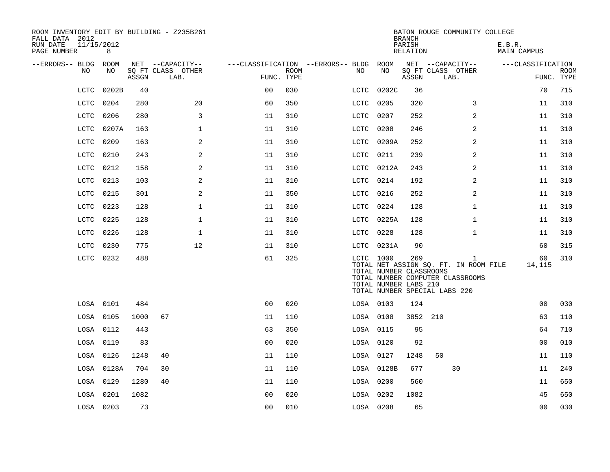| ROOM INVENTORY EDIT BY BUILDING - Z235B261<br>FALL DATA 2012 |                 |       |                           |                |                           |                                        |            | <b>BRANCH</b>                                                                            |      |                                                                                           | BATON ROUGE COMMUNITY COLLEGE |                |             |
|--------------------------------------------------------------|-----------------|-------|---------------------------|----------------|---------------------------|----------------------------------------|------------|------------------------------------------------------------------------------------------|------|-------------------------------------------------------------------------------------------|-------------------------------|----------------|-------------|
| RUN DATE<br>PAGE NUMBER                                      | 11/15/2012<br>8 |       |                           |                |                           |                                        |            | PARISH<br>RELATION                                                                       |      |                                                                                           | E.B.R.<br>MAIN CAMPUS         |                |             |
| --ERRORS-- BLDG ROOM                                         |                 |       | NET --CAPACITY--          |                |                           | ---CLASSIFICATION --ERRORS-- BLDG ROOM |            |                                                                                          |      | NET --CAPACITY--                                                                          | ---CLASSIFICATION             |                |             |
| NO.                                                          | NO.             | ASSGN | SQ FT CLASS OTHER<br>LAB. |                | <b>ROOM</b><br>FUNC. TYPE | NO                                     | NO         | ASSGN                                                                                    | LAB. | SQ FT CLASS OTHER                                                                         |                               | FUNC. TYPE     | <b>ROOM</b> |
| LCTC                                                         | 0202B           | 40    |                           | 0 <sup>0</sup> | 030                       | LCTC                                   | 0202C      | 36                                                                                       |      |                                                                                           |                               | 70             | 715         |
| LCTC                                                         | 0204            | 280   | 20                        | 60             | 350                       | LCTC                                   | 0205       | 320                                                                                      |      | 3                                                                                         |                               | 11             | 310         |
| LCTC                                                         | 0206            | 280   | 3                         | 11             | 310                       | LCTC                                   | 0207       | 252                                                                                      |      | 2                                                                                         |                               | 11             | 310         |
| LCTC                                                         | 0207A           | 163   | $\mathbf 1$               | 11             | 310                       | LCTC                                   | 0208       | 246                                                                                      |      | 2                                                                                         |                               | 11             | 310         |
| LCTC                                                         | 0209            | 163   | 2                         | 11             | 310                       | LCTC                                   | 0209A      | 252                                                                                      |      | 2                                                                                         |                               | 11             | 310         |
| LCTC                                                         | 0210            | 243   | 2                         | 11             | 310                       | LCTC                                   | 0211       | 239                                                                                      |      | 2                                                                                         |                               | 11             | 310         |
| LCTC                                                         | 0212            | 158   | 2                         | 11             | 310                       | LCTC                                   | 0212A      | 243                                                                                      |      | $\overline{a}$                                                                            |                               | 11             | 310         |
| LCTC                                                         | 0213            | 103   | 2                         | 11             | 310                       | LCTC                                   | 0214       | 192                                                                                      |      | $\overline{a}$                                                                            |                               | 11             | 310         |
| LCTC                                                         | 0215            | 301   | 2                         | 11             | 350                       | LCTC                                   | 0216       | 252                                                                                      |      | 2                                                                                         |                               | 11             | 310         |
| LCTC                                                         | 0223            | 128   | $\mathbf{1}$              | 11             | 310                       | LCTC                                   | 0224       | 128                                                                                      |      | $\mathbf{1}$                                                                              |                               | 11             | 310         |
| LCTC                                                         | 0225            | 128   | $\mathbf 1$               | 11             | 310                       | LCTC                                   | 0225A      | 128                                                                                      |      | $\mathbf{1}$                                                                              |                               | 11             | 310         |
| LCTC                                                         | 0226            | 128   | $\mathbf 1$               | 11             | 310                       | LCTC                                   | 0228       | 128                                                                                      |      | $\mathbf{1}$                                                                              |                               | 11             | 310         |
| LCTC                                                         | 0230            | 775   | 12                        | 11             | 310                       |                                        | LCTC 0231A | 90                                                                                       |      |                                                                                           |                               | 60             | 315         |
|                                                              | LCTC 0232       | 488   |                           | 61             | 325                       |                                        | LCTC 1000  | 269<br>TOTAL NUMBER CLASSROOMS<br>TOTAL NUMBER LABS 210<br>TOTAL NUMBER SPECIAL LABS 220 |      | $\mathbf{1}$<br>TOTAL NET ASSIGN SQ. FT. IN ROOM FILE<br>TOTAL NUMBER COMPUTER CLASSROOMS |                               | 60<br>14,115   | 310         |
|                                                              | LOSA 0101       | 484   |                           | 0 <sub>0</sub> | 020                       |                                        | LOSA 0103  | 124                                                                                      |      |                                                                                           |                               | 0 <sub>0</sub> | 030         |
|                                                              | LOSA 0105       | 1000  | 67                        | 11             | 110                       |                                        | LOSA 0108  | 3852 210                                                                                 |      |                                                                                           |                               | 63             | 110         |
|                                                              | LOSA 0112       | 443   |                           | 63             | 350                       |                                        | LOSA 0115  | 95                                                                                       |      |                                                                                           |                               | 64             | 710         |
|                                                              | LOSA 0119       | 83    |                           | 0 <sub>0</sub> | 020                       |                                        | LOSA 0120  | 92                                                                                       |      |                                                                                           |                               | 0 <sub>0</sub> | 010         |
|                                                              | LOSA 0126       | 1248  | 40                        | 11             | 110                       |                                        | LOSA 0127  | 1248                                                                                     | 50   |                                                                                           |                               | 11             | 110         |
|                                                              | LOSA 0128A      | 704   | 30                        | 11             | 110                       |                                        | LOSA 0128B | 677                                                                                      |      | 30                                                                                        |                               | 11             | 240         |
|                                                              | LOSA 0129       | 1280  | 40                        | 11             | 110                       |                                        | LOSA 0200  | 560                                                                                      |      |                                                                                           |                               | 11             | 650         |
|                                                              | LOSA 0201       | 1082  |                           | 0 <sub>0</sub> | 020                       |                                        | LOSA 0202  | 1082                                                                                     |      |                                                                                           |                               | 45             | 650         |
|                                                              | LOSA 0203       | 73    |                           | 00             | 010                       |                                        | LOSA 0208  | 65                                                                                       |      |                                                                                           |                               | 0 <sub>0</sub> | 030         |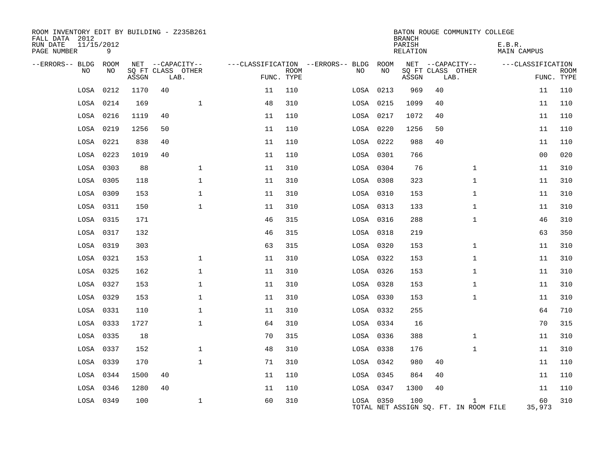| ROOM INVENTORY EDIT BY BUILDING - Z235B261<br>FALL DATA 2012 |                 |       |    |                           |            |             |                                          |            | <b>BRANCH</b>      |      | BATON ROUGE COMMUNITY COLLEGE                         |                       |                |             |
|--------------------------------------------------------------|-----------------|-------|----|---------------------------|------------|-------------|------------------------------------------|------------|--------------------|------|-------------------------------------------------------|-----------------------|----------------|-------------|
| RUN DATE<br>PAGE NUMBER                                      | 11/15/2012<br>9 |       |    |                           |            |             |                                          |            | PARISH<br>RELATION |      |                                                       | E.B.R.<br>MAIN CAMPUS |                |             |
| --ERRORS-- BLDG ROOM<br>NO.                                  | NO.             |       |    | NET --CAPACITY--          |            |             | ---CLASSIFICATION --ERRORS-- BLDG<br>NO. | ROOM<br>NO | NET --CAPACITY--   |      |                                                       | ---CLASSIFICATION     |                |             |
|                                                              |                 | ASSGN |    | SQ FT CLASS OTHER<br>LAB. | FUNC. TYPE | <b>ROOM</b> |                                          |            | ASSGN              | LAB. | SQ FT CLASS OTHER                                     |                       | FUNC. TYPE     | <b>ROOM</b> |
| LOSA                                                         | 0212            | 1170  | 40 |                           | 11         | 110         | LOSA 0213                                |            | 969                | 40   |                                                       |                       | 11             | 110         |
| LOSA                                                         | 0214            | 169   |    | $\mathbf{1}$              | 48         | 310         | LOSA 0215                                |            | 1099               | 40   |                                                       |                       | 11             | 110         |
| LOSA                                                         | 0216            | 1119  | 40 |                           | 11         | 110         | LOSA 0217                                |            | 1072               | 40   |                                                       |                       | 11             | 110         |
| LOSA                                                         | 0219            | 1256  | 50 |                           | 11         | 110         | LOSA 0220                                |            | 1256               | 50   |                                                       |                       | 11             | 110         |
| LOSA                                                         | 0221            | 838   | 40 |                           | 11         | 110         | LOSA 0222                                |            | 988                | 40   |                                                       |                       | 11             | 110         |
| LOSA                                                         | 0223            | 1019  | 40 |                           | 11         | 110         |                                          | LOSA 0301  | 766                |      |                                                       |                       | 0 <sub>0</sub> | 020         |
| LOSA                                                         | 0303            | 88    |    | $\mathbf{1}$              | 11         | 310         | LOSA 0304                                |            | 76                 |      | $\mathbf{1}$                                          |                       | 11             | 310         |
| LOSA                                                         | 0305            | 118   |    | $\mathbf 1$               | 11         | 310         | LOSA 0308                                |            | 323                |      | $\mathbf{1}$                                          |                       | 11             | 310         |
| LOSA                                                         | 0309            | 153   |    | $\mathbf 1$               | 11         | 310         | LOSA 0310                                |            | 153                |      | $\mathbf{1}$                                          |                       | 11             | 310         |
|                                                              | LOSA 0311       | 150   |    | $\mathbf 1$               | 11         | 310         | LOSA 0313                                |            | 133                |      | $\mathbf{1}$                                          |                       | 11             | 310         |
| LOSA                                                         | 0315            | 171   |    |                           | 46         | 315         | LOSA 0316                                |            | 288                |      | $\mathbf{1}$                                          |                       | 46             | 310         |
|                                                              | LOSA 0317       | 132   |    |                           | 46         | 315         | LOSA 0318                                |            | 219                |      |                                                       |                       | 63             | 350         |
| LOSA                                                         | 0319            | 303   |    |                           | 63         | 315         | LOSA 0320                                |            | 153                |      | $\mathbf{1}$                                          |                       | 11             | 310         |
| LOSA                                                         | 0321            | 153   |    | 1                         | 11         | 310         | LOSA 0322                                |            | 153                |      | $\mathbf{1}$                                          |                       | 11             | 310         |
| LOSA                                                         | 0325            | 162   |    | $\mathbf 1$               | 11         | 310         |                                          | LOSA 0326  | 153                |      | $\mathbf{1}$                                          |                       | 11             | 310         |
|                                                              | LOSA 0327       | 153   |    | $\mathbf 1$               | 11         | 310         | LOSA 0328                                |            | 153                |      | $\mathbf{1}$                                          |                       | 11             | 310         |
| LOSA                                                         | 0329            | 153   |    | $\mathbf 1$               | 11         | 310         | LOSA 0330                                |            | 153                |      | $\mathbf{1}$                                          |                       | 11             | 310         |
| LOSA                                                         | 0331            | 110   |    | $\mathbf 1$               | 11         | 310         | LOSA 0332                                |            | 255                |      |                                                       |                       | 64             | 710         |
| LOSA                                                         | 0333            | 1727  |    | $\mathbf{1}$              | 64         | 310         | LOSA 0334                                |            | 16                 |      |                                                       |                       | 70             | 315         |
| LOSA                                                         | 0335            | 18    |    |                           | 70         | 315         | LOSA 0336                                |            | 388                |      | $\mathbf{1}$                                          |                       | 11             | 310         |
| LOSA                                                         | 0337            | 152   |    | $\mathbf 1$               | 48         | 310         | LOSA 0338                                |            | 176                |      | $\mathbf{1}$                                          |                       | 11             | 310         |
| LOSA                                                         | 0339            | 170   |    | $\mathbf{1}$              | 71         | 310         | LOSA 0342                                |            | 980                | 40   |                                                       |                       | 11             | 110         |
| LOSA                                                         | 0344            | 1500  | 40 |                           | 11         | 110         | LOSA 0345                                |            | 864                | 40   |                                                       |                       | 11             | 110         |
| LOSA                                                         | 0346            | 1280  | 40 |                           | 11         | 110         | LOSA 0347                                |            | 1300               | 40   |                                                       |                       | 11             | 110         |
|                                                              | LOSA 0349       | 100   |    | $\mathbf 1$               | 60         | 310         |                                          | LOSA 0350  | 100                |      | $\mathbf{1}$<br>TOTAL NET ASSIGN SO. FT. IN ROOM FILE |                       | 60<br>35,973   | 310         |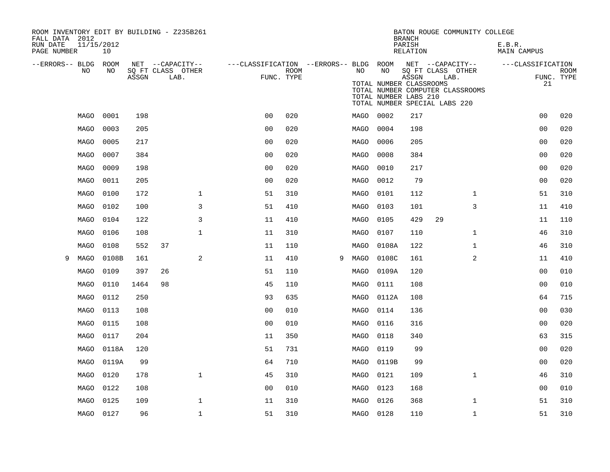| ROOM INVENTORY EDIT BY BUILDING - Z235B261<br>FALL DATA 2012 |      |                  |       |    |                           |                                                         |      |   |           |                                                        | <b>BRANCH</b>      |                                                            | BATON ROUGE COMMUNITY COLLEGE    |                       |                           |
|--------------------------------------------------------------|------|------------------|-------|----|---------------------------|---------------------------------------------------------|------|---|-----------|--------------------------------------------------------|--------------------|------------------------------------------------------------|----------------------------------|-----------------------|---------------------------|
| RUN DATE<br>PAGE NUMBER                                      |      | 11/15/2012<br>10 |       |    |                           |                                                         |      |   |           |                                                        | PARISH<br>RELATION |                                                            |                                  | E.B.R.<br>MAIN CAMPUS |                           |
| --ERRORS-- BLDG ROOM                                         |      |                  |       |    | NET --CAPACITY--          | ---CLASSIFICATION --ERRORS-- BLDG ROOM NET --CAPACITY-- |      |   |           |                                                        |                    |                                                            |                                  | ---CLASSIFICATION     |                           |
|                                                              | NO   | NO               | ASSGN |    | SQ FT CLASS OTHER<br>LAB. | FUNC. TYPE                                              | ROOM |   | NO        | NO<br>TOTAL NUMBER CLASSROOMS<br>TOTAL NUMBER LABS 210 | ASSGN              | SQ FT CLASS OTHER<br>LAB.<br>TOTAL NUMBER SPECIAL LABS 220 | TOTAL NUMBER COMPUTER CLASSROOMS | 21                    | <b>ROOM</b><br>FUNC. TYPE |
|                                                              | MAGO | 0001             | 198   |    |                           | 0 <sub>0</sub>                                          | 020  |   | MAGO 0002 |                                                        | 217                |                                                            |                                  | 0 <sub>0</sub>        | 020                       |
|                                                              | MAGO | 0003             | 205   |    |                           | 0 <sub>0</sub>                                          | 020  |   | MAGO      | 0004                                                   | 198                |                                                            |                                  | 00                    | 020                       |
|                                                              | MAGO | 0005             | 217   |    |                           | 00                                                      | 020  |   | MAGO      | 0006                                                   | 205                |                                                            |                                  | 00                    | 020                       |
|                                                              | MAGO | 0007             | 384   |    |                           | 0 <sub>0</sub>                                          | 020  |   | MAGO      | 0008                                                   | 384                |                                                            |                                  | 0 <sub>0</sub>        | 020                       |
|                                                              | MAGO | 0009             | 198   |    |                           | 00                                                      | 020  |   | MAGO      | 0010                                                   | 217                |                                                            |                                  | 00                    | 020                       |
|                                                              | MAGO | 0011             | 205   |    |                           | 0 <sub>0</sub>                                          | 020  |   | MAGO      | 0012                                                   | 79                 |                                                            |                                  | 0 <sub>0</sub>        | 020                       |
|                                                              | MAGO | 0100             | 172   |    | $\mathbf{1}$              | 51                                                      | 310  |   | MAGO      | 0101                                                   | 112                |                                                            | $\mathbf{1}$                     | 51                    | 310                       |
|                                                              | MAGO | 0102             | 100   |    | 3                         | 51                                                      | 410  |   | MAGO      | 0103                                                   | 101                |                                                            | 3                                | 11                    | 410                       |
|                                                              | MAGO | 0104             | 122   |    | 3                         | 11                                                      | 410  |   | MAGO      | 0105                                                   | 429                | 29                                                         |                                  | 11                    | 110                       |
|                                                              | MAGO | 0106             | 108   |    | $\mathbf 1$               | 11                                                      | 310  |   | MAGO      | 0107                                                   | 110                |                                                            | $\mathbf{1}$                     | 46                    | 310                       |
|                                                              | MAGO | 0108             | 552   | 37 |                           | 11                                                      | 110  |   | MAGO      | 0108A                                                  | 122                |                                                            | $\mathbf{1}$                     | 46                    | 310                       |
| 9                                                            | MAGO | 0108B            | 161   |    | 2                         | 11                                                      | 410  | 9 | MAGO      | 0108C                                                  | 161                |                                                            | 2                                | 11                    | 410                       |
|                                                              | MAGO | 0109             | 397   | 26 |                           | 51                                                      | 110  |   | MAGO      | 0109A                                                  | 120                |                                                            |                                  | 0 <sub>0</sub>        | 010                       |
|                                                              | MAGO | 0110             | 1464  | 98 |                           | 45                                                      | 110  |   | MAGO      | 0111                                                   | 108                |                                                            |                                  | 0 <sub>0</sub>        | 010                       |
|                                                              | MAGO | 0112             | 250   |    |                           | 93                                                      | 635  |   | MAGO      | 0112A                                                  | 108                |                                                            |                                  | 64                    | 715                       |
|                                                              | MAGO | 0113             | 108   |    |                           | 0 <sub>0</sub>                                          | 010  |   | MAGO      | 0114                                                   | 136                |                                                            |                                  | 00                    | 030                       |
|                                                              | MAGO | 0115             | 108   |    |                           | 0 <sub>0</sub>                                          | 010  |   | MAGO      | 0116                                                   | 316                |                                                            |                                  | 0 <sub>0</sub>        | 020                       |
|                                                              | MAGO | 0117             | 204   |    |                           | 11                                                      | 350  |   | MAGO      | 0118                                                   | 340                |                                                            |                                  | 63                    | 315                       |
|                                                              | MAGO | 0118A            | 120   |    |                           | 51                                                      | 731  |   | MAGO      | 0119                                                   | 99                 |                                                            |                                  | 00                    | 020                       |
|                                                              | MAGO | 0119A            | 99    |    |                           | 64                                                      | 710  |   | MAGO      | 0119B                                                  | 99                 |                                                            |                                  | 0 <sub>0</sub>        | 020                       |
|                                                              | MAGO | 0120             | 178   |    | $\mathbf{1}$              | 45                                                      | 310  |   | MAGO      | 0121                                                   | 109                |                                                            | $\mathbf{1}$                     | 46                    | 310                       |
|                                                              | MAGO | 0122             | 108   |    |                           | 0 <sub>0</sub>                                          | 010  |   | MAGO      | 0123                                                   | 168                |                                                            |                                  | 00                    | 010                       |
|                                                              | MAGO | 0125             | 109   |    | $\mathbf{1}$              | 11                                                      | 310  |   | MAGO      | 0126                                                   | 368                |                                                            | $\mathbf{1}$                     | 51                    | 310                       |
|                                                              |      | MAGO 0127        | 96    |    | $\mathbf{1}$              | 51                                                      | 310  |   | MAGO 0128 |                                                        | 110                |                                                            | $\mathbf{1}$                     | 51                    | 310                       |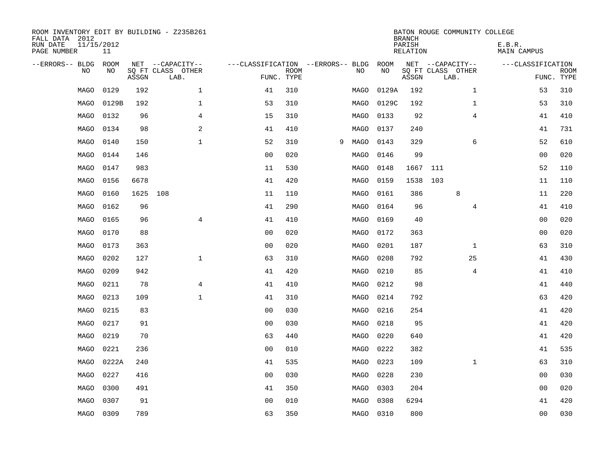| ROOM INVENTORY EDIT BY BUILDING - Z235B261<br>FALL DATA 2012 |           |       |                           |                                   |             |   |           |           | <b>BRANCH</b>      | BATON ROUGE COMMUNITY COLLEGE |                       |                           |
|--------------------------------------------------------------|-----------|-------|---------------------------|-----------------------------------|-------------|---|-----------|-----------|--------------------|-------------------------------|-----------------------|---------------------------|
| 11/15/2012<br>RUN DATE<br>PAGE NUMBER                        | 11        |       |                           |                                   |             |   |           |           | PARISH<br>RELATION |                               | E.B.R.<br>MAIN CAMPUS |                           |
| --ERRORS-- BLDG ROOM                                         |           |       | NET --CAPACITY--          | ---CLASSIFICATION --ERRORS-- BLDG |             |   |           | ROOM      |                    | NET --CAPACITY--              | ---CLASSIFICATION     |                           |
| NO.                                                          | NO.       | ASSGN | SQ FT CLASS OTHER<br>LAB. | FUNC. TYPE                        | <b>ROOM</b> |   | NO.       | <b>NO</b> | ASSGN              | SQ FT CLASS OTHER<br>LAB.     |                       | <b>ROOM</b><br>FUNC. TYPE |
| MAGO                                                         | 0129      | 192   | $\mathbf{1}$              | 41                                | 310         |   | MAGO      | 0129A     | 192                | $\mathbf{1}$                  | 53                    | 310                       |
| MAGO                                                         | 0129B     | 192   | $\mathbf{1}$              | 53                                | 310         |   | MAGO      | 0129C     | 192                | $\mathbf{1}$                  | 53                    | 310                       |
| MAGO                                                         | 0132      | 96    | 4                         | 15                                | 310         |   | MAGO      | 0133      | 92                 | $\overline{4}$                | 41                    | 410                       |
| MAGO                                                         | 0134      | 98    | 2                         | 41                                | 410         |   | MAGO      | 0137      | 240                |                               | 41                    | 731                       |
| MAGO                                                         | 0140      | 150   | $\mathbf{1}$              | 52                                | 310         | 9 | MAGO      | 0143      | 329                | 6                             | 52                    | 610                       |
| MAGO                                                         | 0144      | 146   |                           | 0 <sub>0</sub>                    | 020         |   | MAGO      | 0146      | 99                 |                               | 0 <sub>0</sub>        | 020                       |
| MAGO                                                         | 0147      | 983   |                           | 11                                | 530         |   | MAGO      | 0148      | 1667 111           |                               | 52                    | 110                       |
| MAGO                                                         | 0156      | 6678  |                           | 41                                | 420         |   | MAGO      | 0159      | 1538 103           |                               | 11                    | 110                       |
| MAGO                                                         | 0160      | 1625  | 108                       | 11                                | 110         |   | MAGO      | 0161      | 386                | 8                             | 11                    | 220                       |
| <b>MAGO</b>                                                  | 0162      | 96    |                           | 41                                | 290         |   | MAGO      | 0164      | 96                 | $\overline{4}$                | 41                    | 410                       |
| MAGO                                                         | 0165      | 96    | $\overline{4}$            | 41                                | 410         |   | MAGO      | 0169      | 40                 |                               | 0 <sub>0</sub>        | 020                       |
| MAGO                                                         | 0170      | 88    |                           | 0 <sub>0</sub>                    | 020         |   | MAGO      | 0172      | 363                |                               | 00                    | 020                       |
| MAGO                                                         | 0173      | 363   |                           | 0 <sub>0</sub>                    | 020         |   | MAGO      | 0201      | 187                | $\mathbf{1}$                  | 63                    | 310                       |
| MAGO                                                         | 0202      | 127   | $\mathbf{1}$              | 63                                | 310         |   | MAGO      | 0208      | 792                | 25                            | 41                    | 430                       |
| MAGO                                                         | 0209      | 942   |                           | 41                                | 420         |   | MAGO      | 0210      | 85                 | 4                             | 41                    | 410                       |
| MAGO                                                         | 0211      | 78    | 4                         | 41                                | 410         |   | MAGO      | 0212      | 98                 |                               | 41                    | 440                       |
| MAGO                                                         | 0213      | 109   | $\mathbf 1$               | 41                                | 310         |   | MAGO      | 0214      | 792                |                               | 63                    | 420                       |
| MAGO                                                         | 0215      | 83    |                           | 0 <sub>0</sub>                    | 030         |   | MAGO      | 0216      | 254                |                               | 41                    | 420                       |
| MAGO                                                         | 0217      | 91    |                           | 0 <sub>0</sub>                    | 030         |   | MAGO      | 0218      | 95                 |                               | 41                    | 420                       |
| MAGO                                                         | 0219      | 70    |                           | 63                                | 440         |   | MAGO      | 0220      | 640                |                               | 41                    | 420                       |
| MAGO                                                         | 0221      | 236   |                           | 0 <sub>0</sub>                    | 010         |   | MAGO      | 0222      | 382                |                               | 41                    | 535                       |
| MAGO                                                         | 0222A     | 240   |                           | 41                                | 535         |   | MAGO      | 0223      | 109                | $\mathbf{1}$                  | 63                    | 310                       |
| MAGO                                                         | 0227      | 416   |                           | 0 <sub>0</sub>                    | 030         |   | MAGO      | 0228      | 230                |                               | 00                    | 030                       |
| MAGO                                                         | 0300      | 491   |                           | 41                                | 350         |   | MAGO      | 0303      | 204                |                               | 00                    | 020                       |
| MAGO                                                         | 0307      | 91    |                           | 0 <sub>0</sub>                    | 010         |   | MAGO      | 0308      | 6294               |                               | 41                    | 420                       |
|                                                              | MAGO 0309 | 789   |                           | 63                                | 350         |   | MAGO 0310 |           | 800                |                               | 0 <sub>0</sub>        | 030                       |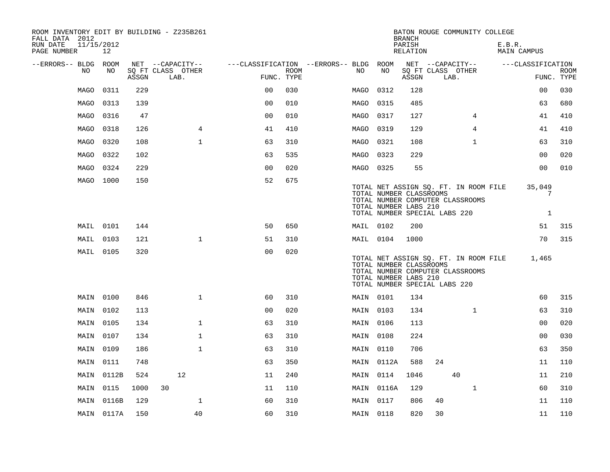| ROOM INVENTORY EDIT BY BUILDING - Z235B261<br>FALL DATA 2012 |            |       |                           |                |                    | BATON ROUGE COMMUNITY COLLEGE<br><b>BRANCH</b>                                                                                                                                                |
|--------------------------------------------------------------|------------|-------|---------------------------|----------------|--------------------|-----------------------------------------------------------------------------------------------------------------------------------------------------------------------------------------------|
| 11/15/2012<br>RUN DATE<br>PAGE NUMBER                        | 12         |       |                           |                |                    | PARISH<br>E.B.R.<br>RELATION<br>MAIN CAMPUS                                                                                                                                                   |
| --ERRORS-- BLDG ROOM<br>NO.                                  | NO         |       | NET --CAPACITY--          |                |                    | ---CLASSIFICATION --ERRORS-- BLDG<br>ROOM<br>NET --CAPACITY--<br>---CLASSIFICATION<br>NO.<br>NO                                                                                               |
|                                                              |            | ASSGN | SO FT CLASS OTHER<br>LAB. |                | ROOM<br>FUNC. TYPE | SQ FT CLASS OTHER<br><b>ROOM</b><br>FUNC. TYPE<br>ASSGN<br>LAB.                                                                                                                               |
| MAGO                                                         | 0311       | 229   |                           | 0 <sub>0</sub> | 030                | 030<br>MAGO<br>0312<br>128<br>0 <sub>0</sub>                                                                                                                                                  |
| MAGO                                                         | 0313       | 139   |                           | 0 <sub>0</sub> | 010                | 680<br>0315<br>485<br>63<br>MAGO                                                                                                                                                              |
| MAGO                                                         | 0316       | 47    |                           | 0 <sub>0</sub> | 010                | $\overline{4}$<br>41<br>410<br>MAGO<br>0317<br>127                                                                                                                                            |
| MAGO                                                         | 0318       | 126   | 4                         | 41             | 410                | 0319<br>129<br>4<br>41<br>410<br>MAGO                                                                                                                                                         |
| MAGO                                                         | 0320       | 108   | $\mathbf 1$               | 63             | 310                | $\mathbf{1}$<br>0321<br>108<br>63<br>310<br>MAGO                                                                                                                                              |
| MAGO                                                         | 0322       | 102   |                           | 63             | 535                | 0 <sub>0</sub><br>020<br>MAGO<br>0323<br>229                                                                                                                                                  |
| MAGO                                                         | 0324       | 229   |                           | 0 <sub>0</sub> | 020                | 0 <sub>0</sub><br>010<br>55<br>MAGO 0325                                                                                                                                                      |
| MAGO 1000                                                    |            | 150   |                           | 52             | 675                | 35,049<br>TOTAL NET ASSIGN SQ. FT. IN ROOM FILE<br>TOTAL NUMBER CLASSROOMS<br>7<br>TOTAL NUMBER COMPUTER CLASSROOMS<br>TOTAL NUMBER LABS 210<br>TOTAL NUMBER SPECIAL LABS 220<br>$\mathbf{1}$ |
| MAIL 0101                                                    |            | 144   |                           | 50             | 650                | MAIL 0102<br>200<br>51<br>315                                                                                                                                                                 |
| MAIL                                                         | 0103       | 121   | $\mathbf{1}$              | 51             | 310                | 70<br>315<br>MAIL 0104<br>1000                                                                                                                                                                |
| MAIL 0105                                                    |            | 320   |                           | 0 <sub>0</sub> | 020                | TOTAL NET ASSIGN SQ. FT. IN ROOM FILE<br>1,465<br>TOTAL NUMBER CLASSROOMS<br>TOTAL NUMBER COMPUTER CLASSROOMS<br>TOTAL NUMBER LABS 210<br>TOTAL NUMBER SPECIAL LABS 220                       |
|                                                              | MAIN 0100  | 846   | $\mathbf{1}$              | 60             | 310                | 60<br>315<br>MAIN 0101<br>134                                                                                                                                                                 |
|                                                              | MAIN 0102  | 113   |                           | 00             | 020                | $\mathbf{1}$<br>63<br>310<br>MAIN 0103<br>134                                                                                                                                                 |
|                                                              | MAIN 0105  | 134   | $\mathbf 1$               | 63             | 310                | 020<br>00<br>MAIN 0106<br>113                                                                                                                                                                 |
|                                                              | MAIN 0107  | 134   | $\mathbf{1}$              | 63             | 310                | 224<br>0 <sub>0</sub><br>030<br>MAIN 0108                                                                                                                                                     |
|                                                              | MAIN 0109  | 186   | $\mathbf{1}$              | 63             | 310                | 63<br>350<br>MAIN 0110<br>706                                                                                                                                                                 |
|                                                              | MAIN 0111  | 748   |                           | 63             | 350                | 11<br>110<br>MAIN 0112A<br>588<br>24                                                                                                                                                          |
|                                                              | MAIN 0112B | 524   | 12                        | 11             | 240                | MAIN 0114<br>1046<br>40<br>210<br>11                                                                                                                                                          |
|                                                              | MAIN 0115  | 1000  | 30                        | 11             | 110                | $\mathbf{1}$<br>60<br>310<br>MAIN 0116A<br>129                                                                                                                                                |
|                                                              | MAIN 0116B | 129   | $\mathbf{1}$              | 60             | 310                | MAIN 0117<br>806<br>40<br>11<br>110                                                                                                                                                           |
|                                                              | MAIN 0117A | 150   | 40                        | 60             | 310                | 820<br>30<br>110<br>MAIN 0118<br>11                                                                                                                                                           |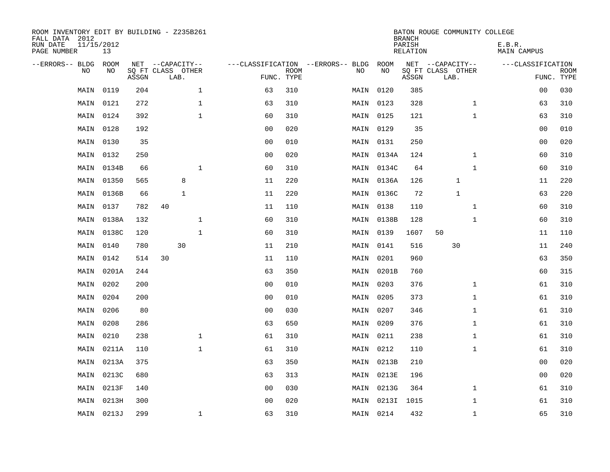| ROOM INVENTORY EDIT BY BUILDING - Z235B261<br>FALL DATA 2012<br>RUN DATE<br>PAGE NUMBER | 11/15/2012<br>13 |       |                           |                    |                           |                                   |            | <b>BRANCH</b><br>PARISH<br>RELATION | BATON ROUGE COMMUNITY COLLEGE | E.B.R.<br>MAIN CAMPUS |                           |
|-----------------------------------------------------------------------------------------|------------------|-------|---------------------------|--------------------|---------------------------|-----------------------------------|------------|-------------------------------------|-------------------------------|-----------------------|---------------------------|
| --ERRORS-- BLDG                                                                         | ROOM             |       | NET --CAPACITY--          |                    |                           | ---CLASSIFICATION --ERRORS-- BLDG | ROOM       |                                     | NET --CAPACITY--              | ---CLASSIFICATION     |                           |
| N <sub>O</sub>                                                                          | NO.              | ASSGN | SO FT CLASS OTHER<br>LAB. |                    | <b>ROOM</b><br>FUNC. TYPE | NO.                               | NO         | ASSGN                               | SQ FT CLASS OTHER<br>LAB.     |                       | <b>ROOM</b><br>FUNC. TYPE |
| MAIN                                                                                    | 0119             | 204   |                           | $\mathbf{1}$<br>63 | 310                       |                                   | MAIN 0120  | 385                                 |                               | 00                    | 030                       |
| MAIN                                                                                    | 0121             | 272   |                           | $\mathbf{1}$<br>63 | 310                       |                                   | MAIN 0123  | 328                                 | $\mathbf{1}$                  | 63                    | 310                       |
| MAIN                                                                                    | 0124             | 392   |                           | $\mathbf 1$<br>60  | 310                       |                                   | MAIN 0125  | 121                                 | $\mathbf{1}$                  | 63                    | 310                       |
| MAIN                                                                                    | 0128             | 192   |                           | 0 <sub>0</sub>     | 020                       |                                   | MAIN 0129  | 35                                  |                               | 0 <sub>0</sub>        | 010                       |
| MAIN                                                                                    | 0130             | 35    |                           | 0 <sub>0</sub>     | 010                       |                                   | MAIN 0131  | 250                                 |                               | 0 <sub>0</sub>        | 020                       |
| MAIN                                                                                    | 0132             | 250   |                           | 0 <sub>0</sub>     | 020                       |                                   | MAIN 0134A | 124                                 | $\mathbf{1}$                  | 60                    | 310                       |
| MAIN                                                                                    | 0134B            | 66    |                           | $\mathbf{1}$<br>60 | 310                       |                                   | MAIN 0134C | 64                                  | $\mathbf{1}$                  | 60                    | 310                       |
| MAIN                                                                                    | 01350            | 565   | 8                         | 11                 | 220                       |                                   | MAIN 0136A | 126                                 | $\mathbf{1}$                  | 11                    | 220                       |
| MAIN                                                                                    | 0136B            | 66    | $\mathbf{1}$              | 11                 | 220                       | MAIN                              | 0136C      | 72                                  | $\mathbf{1}$                  | 63                    | 220                       |
| MAIN                                                                                    | 0137             | 782   | 40                        | 11                 | 110                       |                                   | MAIN 0138  | 110                                 | $\mathbf{1}$                  | 60                    | 310                       |
| MAIN                                                                                    | 0138A            | 132   |                           | $\mathbf 1$<br>60  | 310                       | MAIN                              | 0138B      | 128                                 | $\mathbf{1}$                  | 60                    | 310                       |
| MAIN                                                                                    | 0138C            | 120   |                           | $\mathbf{1}$<br>60 | 310                       |                                   | MAIN 0139  | 1607                                | 50                            | 11                    | 110                       |
| MAIN                                                                                    | 0140             | 780   | 30                        | 11                 | 210                       |                                   | MAIN 0141  | 516                                 | 30                            | 11                    | 240                       |
| MAIN                                                                                    | 0142             | 514   | 30                        | 11                 | 110                       |                                   | MAIN 0201  | 960                                 |                               | 63                    | 350                       |
| MAIN                                                                                    | 0201A            | 244   |                           | 63                 | 350                       |                                   | MAIN 0201B | 760                                 |                               | 60                    | 315                       |
| MAIN                                                                                    | 0202             | 200   |                           | 0 <sub>0</sub>     | 010                       |                                   | MAIN 0203  | 376                                 | $\mathbf{1}$                  | 61                    | 310                       |
| MAIN                                                                                    | 0204             | 200   |                           | 0 <sub>0</sub>     | 010                       |                                   | MAIN 0205  | 373                                 | $\mathbf{1}$                  | 61                    | 310                       |
| MAIN                                                                                    | 0206             | 80    |                           | 0 <sub>0</sub>     | 030                       | MAIN                              | 0207       | 346                                 | $\mathbf{1}$                  | 61                    | 310                       |
| MAIN                                                                                    | 0208             | 286   |                           | 63                 | 650                       |                                   | MAIN 0209  | 376                                 | $\mathbf{1}$                  | 61                    | 310                       |
| MAIN                                                                                    | 0210             | 238   |                           | $\mathbf 1$<br>61  | 310                       |                                   | MAIN 0211  | 238                                 | $\mathbf{1}$                  | 61                    | 310                       |
| MAIN                                                                                    | 0211A            | 110   |                           | $\mathbf 1$<br>61  | 310                       |                                   | MAIN 0212  | 110                                 | $\mathbf{1}$                  | 61                    | 310                       |
| MAIN                                                                                    | 0213A            | 375   |                           | 63                 | 350                       |                                   | MAIN 0213B | 210                                 |                               | 0 <sub>0</sub>        | 020                       |
| MAIN                                                                                    | 0213C            | 680   |                           | 63                 | 313                       |                                   | MAIN 0213E | 196                                 |                               | 00                    | 020                       |
| MAIN                                                                                    | 0213F            | 140   |                           | 0 <sub>0</sub>     | 030                       |                                   | MAIN 0213G | 364                                 | $\mathbf{1}$                  | 61                    | 310                       |
| MAIN                                                                                    | 0213H            | 300   |                           | 0 <sub>0</sub>     | 020                       |                                   | MAIN 0213I | 1015                                | $\mathbf{1}$                  | 61                    | 310                       |
|                                                                                         | MAIN 0213J       | 299   |                           | $\mathbf{1}$<br>63 | 310                       |                                   | MAIN 0214  | 432                                 | $\mathbf{1}$                  | 65                    | 310                       |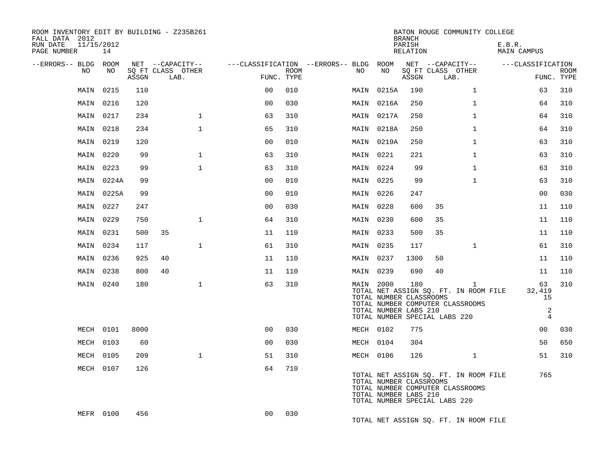| ROOM INVENTORY EDIT BY BUILDING - Z235B261<br>FALL DATA 2012<br>RUN DATE<br>PAGE NUMBER | 11/15/2012<br>14 |       |                                               |                |                           |                                              |                                                               | <b>BRANCH</b><br>PARISH<br>RELATION | BATON ROUGE COMMUNITY COLLEGE                                                                              |              | E.B.R.<br>MAIN CAMPUS                              |                           |
|-----------------------------------------------------------------------------------------|------------------|-------|-----------------------------------------------|----------------|---------------------------|----------------------------------------------|---------------------------------------------------------------|-------------------------------------|------------------------------------------------------------------------------------------------------------|--------------|----------------------------------------------------|---------------------------|
| --ERRORS-- BLDG ROOM<br>NO                                                              | NO               | ASSGN | NET --CAPACITY--<br>SQ FT CLASS OTHER<br>LAB. |                | <b>ROOM</b><br>FUNC. TYPE | ---CLASSIFICATION --ERRORS-- BLDG ROOM<br>NO | NO                                                            | ASSGN                               | NET --CAPACITY--<br>SQ FT CLASS OTHER<br>LAB.                                                              |              | ---CLASSIFICATION                                  | <b>ROOM</b><br>FUNC. TYPE |
| MAIN                                                                                    | 0215             | 110   |                                               | 0 <sub>0</sub> | 010                       | MAIN                                         | 0215A                                                         | 190                                 |                                                                                                            | $\mathbf{1}$ | 63                                                 | 310                       |
|                                                                                         | MAIN 0216        | 120   |                                               | 0 <sub>0</sub> | 030                       |                                              | MAIN 0216A                                                    | 250                                 |                                                                                                            | $\mathbf{1}$ | 64                                                 | 310                       |
|                                                                                         | MAIN 0217        | 234   | $\mathbf{1}$                                  | 63             | 310                       |                                              | MAIN 0217A                                                    | 250                                 |                                                                                                            | $\mathbf{1}$ | 64                                                 | 310                       |
|                                                                                         | MAIN 0218        | 234   | $\mathbf{1}$                                  | 65             | 310                       |                                              | MAIN 0218A                                                    | 250                                 |                                                                                                            | $\mathbf{1}$ | 64                                                 | 310                       |
|                                                                                         | MAIN 0219        | 120   |                                               | 0 <sub>0</sub> | 010                       |                                              | MAIN 0219A                                                    | 250                                 |                                                                                                            | $\mathbf{1}$ | 63                                                 | 310                       |
| MAIN                                                                                    | 0220             | 99    | $\mathbf{1}$                                  | 63             | 310                       |                                              | MAIN 0221                                                     | 221                                 |                                                                                                            | $\mathbf{1}$ | 63                                                 | 310                       |
| MAIN                                                                                    | 0223             | 99    | $\mathbf{1}$                                  | 63             | 310                       |                                              | MAIN 0224                                                     | 99                                  |                                                                                                            | $\mathbf{1}$ | 63                                                 | 310                       |
|                                                                                         | MAIN 0224A       | 99    |                                               | 0 <sub>0</sub> | 010                       |                                              | MAIN 0225                                                     | 99                                  |                                                                                                            | $\mathbf{1}$ | 63                                                 | 310                       |
|                                                                                         | MAIN 0225A       | 99    |                                               | 0 <sub>0</sub> | 010                       |                                              | MAIN 0226                                                     | 247                                 |                                                                                                            |              | 0 <sub>0</sub>                                     | 030                       |
| MAIN                                                                                    | 0227             | 247   |                                               | 0 <sub>0</sub> | 030                       |                                              | MAIN 0228                                                     | 600                                 | 35                                                                                                         |              | 11                                                 | 110                       |
| MAIN                                                                                    | 0229             | 750   | $\mathbf{1}$                                  | 64             | 310                       |                                              | MAIN 0230                                                     | 600                                 | 35                                                                                                         |              | 11                                                 | 110                       |
|                                                                                         | MAIN 0231        | 500   | 35                                            | 11             | 110                       |                                              | MAIN 0233                                                     | 500                                 | 35                                                                                                         |              | 11                                                 | 110                       |
| MAIN                                                                                    | 0234             | 117   | $\mathbf{1}$                                  | 61             | 310                       |                                              | MAIN 0235                                                     | 117                                 |                                                                                                            | $\mathbf{1}$ | 61                                                 | 310                       |
|                                                                                         | MAIN 0236        | 925   | 40                                            | 11             | 110                       |                                              | MAIN 0237                                                     | 1300                                | 50                                                                                                         |              | 11                                                 | 110                       |
|                                                                                         | MAIN 0238        | 800   | 40                                            | 11             | 110                       |                                              | MAIN 0239                                                     | 690                                 | 40                                                                                                         |              | 11                                                 | 110                       |
|                                                                                         | MAIN 0240        | 180   | $\mathbf{1}$                                  | 63             | 310                       |                                              | MAIN 2000<br>TOTAL NUMBER CLASSROOMS<br>TOTAL NUMBER LABS 210 | 180                                 | TOTAL NET ASSIGN SQ. FT. IN ROOM FILE<br>TOTAL NUMBER COMPUTER CLASSROOMS<br>TOTAL NUMBER SPECIAL LABS 220 | 1            | 63<br>32,419<br>15<br>$\sqrt{2}$<br>$\overline{4}$ | 310                       |
|                                                                                         | MECH 0101        | 8000  |                                               | 0 <sub>0</sub> | 030                       |                                              | MECH 0102                                                     | 775                                 |                                                                                                            |              | 00                                                 | 030                       |
|                                                                                         | MECH 0103        | 60    |                                               | 0 <sub>0</sub> | 030                       |                                              | MECH 0104                                                     | 304                                 |                                                                                                            |              | 50                                                 | 650                       |
|                                                                                         | MECH 0105        | 209   | $\mathbf{1}$                                  | 51             | 310                       |                                              | MECH 0106                                                     | 126                                 |                                                                                                            | $\mathbf{1}$ | 51                                                 | 310                       |
|                                                                                         | MECH 0107        | 126   |                                               | 64             | 710                       |                                              | TOTAL NUMBER CLASSROOMS<br>TOTAL NUMBER LABS 210              |                                     | TOTAL NET ASSIGN SQ. FT. IN ROOM FILE<br>TOTAL NUMBER COMPUTER CLASSROOMS<br>TOTAL NUMBER SPECIAL LABS 220 |              | 765                                                |                           |
|                                                                                         | MEFR 0100        | 456   |                                               | 0 <sub>0</sub> | 030                       |                                              |                                                               |                                     | TOTAL NET ASSIGN SQ. FT. IN ROOM FILE                                                                      |              |                                                    |                           |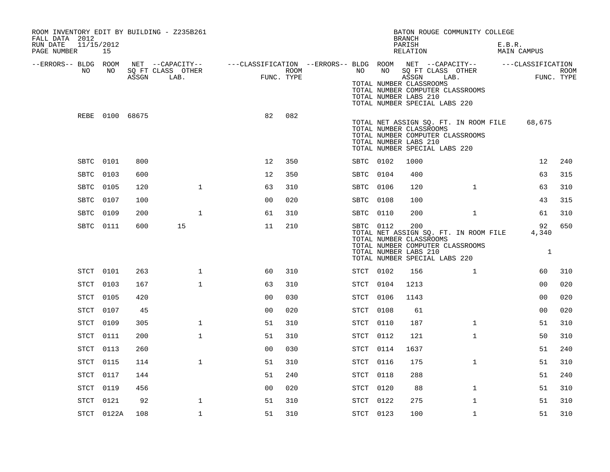| ROOM INVENTORY EDIT BY BUILDING - Z235B261<br>FALL DATA 2012<br>RUN DATE<br>11/15/2012 |            |                 |                                                     |                                                                             |                    |           |    | <b>BRANCH</b><br>PARISH                                                                  | BATON ROUGE COMMUNITY COLLEGE                                             | E.B.R. |                             |             |
|----------------------------------------------------------------------------------------|------------|-----------------|-----------------------------------------------------|-----------------------------------------------------------------------------|--------------------|-----------|----|------------------------------------------------------------------------------------------|---------------------------------------------------------------------------|--------|-----------------------------|-------------|
| PAGE NUMBER                                                                            | 15         |                 |                                                     |                                                                             |                    |           |    | RELATION                                                                                 |                                                                           |        | MAIN CAMPUS                 |             |
| --ERRORS-- BLDG ROOM<br>NO.                                                            | NO         |                 | NET --CAPACITY--<br>SQ FT CLASS OTHER<br>ASSGN LAB. | ---CLASSIFICATION --ERRORS-- BLDG ROOM NET --CAPACITY--   ---CLASSIFICATION | ROOM<br>FUNC. TYPE | NO        | NO | ASSGN<br>TOTAL NUMBER CLASSROOMS                                                         | SQ FT CLASS OTHER<br>LAB.                                                 |        | FUNC. TYPE                  | <b>ROOM</b> |
|                                                                                        |            |                 |                                                     |                                                                             |                    |           |    | TOTAL NUMBER LABS 210<br>TOTAL NUMBER SPECIAL LABS 220                                   | TOTAL NUMBER COMPUTER CLASSROOMS                                          |        |                             |             |
|                                                                                        |            | REBE 0100 68675 |                                                     | 82                                                                          | 082                |           |    | TOTAL NUMBER CLASSROOMS<br>TOTAL NUMBER LABS 210<br>TOTAL NUMBER SPECIAL LABS 220        | TOTAL NET ASSIGN SQ. FT. IN ROOM FILE<br>TOTAL NUMBER COMPUTER CLASSROOMS |        | 68,675                      |             |
| SBTC 0101                                                                              |            | 800             |                                                     | 12                                                                          | 350                | SBTC 0102 |    | 1000                                                                                     |                                                                           |        | 12                          | 240         |
| SBTC 0103                                                                              |            | 600             |                                                     | 12                                                                          | 350                | SBTC 0104 |    | 400                                                                                      |                                                                           |        | 63                          | 315         |
| SBTC 0105                                                                              |            | 120             | $\mathbf{1}$                                        | 63                                                                          | 310                | SBTC 0106 |    | 120                                                                                      | $\mathbf{1}$                                                              |        | 63                          | 310         |
| SBTC 0107                                                                              |            | 100             |                                                     | 0 <sub>0</sub>                                                              | 020                | SBTC 0108 |    | 100                                                                                      |                                                                           |        | 43                          | 315         |
| SBTC                                                                                   | 0109       | 200             | $\mathbf{1}$                                        | 61                                                                          | 310                | SBTC 0110 |    | 200                                                                                      | $\mathbf{1}$                                                              |        | 61                          | 310         |
|                                                                                        | SBTC 0111  | 600             | 15                                                  | 11                                                                          | 210                | SBTC 0112 |    | 200<br>TOTAL NUMBER CLASSROOMS<br>TOTAL NUMBER LABS 210<br>TOTAL NUMBER SPECIAL LABS 220 | TOTAL NET ASSIGN SQ. FT. IN ROOM FILE<br>TOTAL NUMBER COMPUTER CLASSROOMS |        | 92<br>4,340<br>$\mathbf{1}$ | 650         |
| STCT 0101                                                                              |            | 263             | $\mathbf 1$                                         | 60                                                                          | 310                | STCT 0102 |    | 156                                                                                      | $\mathbf{1}$                                                              |        | 60                          | 310         |
| STCT                                                                                   | 0103       | 167             | $\mathbf{1}$                                        | 63                                                                          | 310                | STCT 0104 |    | 1213                                                                                     |                                                                           |        | 0 <sub>0</sub>              | 020         |
| STCT                                                                                   | 0105       | 420             |                                                     | 0 <sub>0</sub>                                                              | 030                | STCT 0106 |    | 1143                                                                                     |                                                                           |        | 0 <sub>0</sub>              | 020         |
| STCT                                                                                   | 0107       | 45              |                                                     | 00                                                                          | 020                | STCT 0108 |    | 61                                                                                       |                                                                           |        | 00                          | 020         |
| STCT                                                                                   | 0109       | 305             | $\mathbf{1}$                                        | 51                                                                          | 310                | STCT 0110 |    | 187                                                                                      | $\mathbf{1}$                                                              |        | 51                          | 310         |
| STCT                                                                                   | 0111       | 200             | $\mathbf 1$                                         | 51                                                                          | 310                | STCT 0112 |    | 121                                                                                      | $\mathbf{1}$                                                              |        | 50                          | 310         |
| STCT                                                                                   | 0113       | 260             |                                                     | 0 <sub>0</sub>                                                              | 030                | STCT 0114 |    | 1637                                                                                     |                                                                           |        | 51                          | 240         |
| STCT                                                                                   | 0115       | 114             | $\mathbf{1}$                                        | 51                                                                          | 310                | STCT 0116 |    | 175                                                                                      | $\mathbf{1}$                                                              |        | 51                          | 310         |
| STCT                                                                                   | 0117       | 144             |                                                     | 51                                                                          | 240                | STCT 0118 |    | 288                                                                                      |                                                                           |        | 51                          | 240         |
| STCT                                                                                   | 0119       | 456             |                                                     | 0 <sub>0</sub>                                                              | 020                | STCT 0120 |    | 88                                                                                       | $\mathbf{1}$                                                              |        | 51                          | 310         |
| STCT                                                                                   | 0121       | 92              | $\mathbf{1}$                                        | 51                                                                          | 310                | STCT 0122 |    | 275                                                                                      | $\mathbf{1}$                                                              |        | 51                          | 310         |
|                                                                                        | STCT 0122A | 108             | $\mathbf 1$                                         | 51                                                                          | 310                | STCT 0123 |    | 100                                                                                      | $\mathbf{1}$                                                              |        | 51                          | 310         |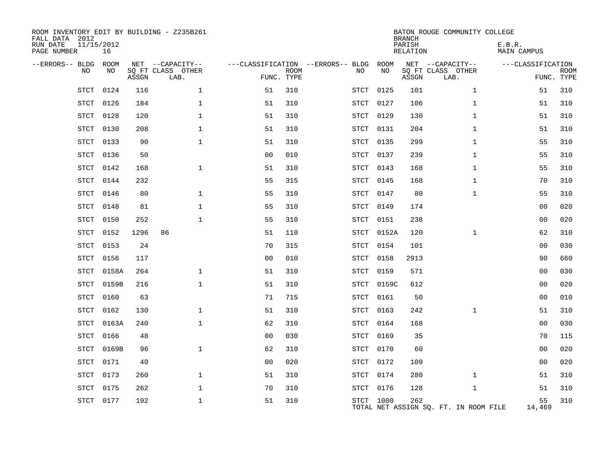| ROOM INVENTORY EDIT BY BUILDING - Z235B261<br>FALL DATA 2012<br>RUN DATE<br>11/15/2012<br>PAGE NUMBER | 16    |       |                           |                                   | BATON ROUGE COMMUNITY COLLEGE<br><b>BRANCH</b><br>PARISH<br>RELATION |  |             |            |       |                                       |                   |                           |  |
|-------------------------------------------------------------------------------------------------------|-------|-------|---------------------------|-----------------------------------|----------------------------------------------------------------------|--|-------------|------------|-------|---------------------------------------|-------------------|---------------------------|--|
| --ERRORS-- BLDG ROOM                                                                                  |       |       | NET --CAPACITY--          | ---CLASSIFICATION --ERRORS-- BLDG |                                                                      |  |             | ROOM       |       | NET --CAPACITY--                      | ---CLASSIFICATION |                           |  |
| NO                                                                                                    | NO    | ASSGN | SQ FT CLASS OTHER<br>LAB. | FUNC. TYPE                        | <b>ROOM</b>                                                          |  | NO          | NO         | ASSGN | SQ FT CLASS OTHER<br>LAB.             |                   | <b>ROOM</b><br>FUNC. TYPE |  |
| STCT                                                                                                  | 0124  | 116   | $\mathbf 1$               | 51                                | 310                                                                  |  | STCT        | 0125       | 101   | $\mathbf{1}$                          | 51                | 310                       |  |
| STCT                                                                                                  | 0126  | 184   | $\mathbf{1}$              | 51                                | 310                                                                  |  | STCT        | 0127       | 106   | $\mathbf{1}$                          | 51                | 310                       |  |
| <b>STCT</b>                                                                                           | 0128  | 120   | $\mathbf 1$               | 51                                | 310                                                                  |  | STCT        | 0129       | 130   | $\mathbf{1}$                          | 51                | 310                       |  |
| <b>STCT</b>                                                                                           | 0130  | 208   | $\mathbf{1}$              | 51                                | 310                                                                  |  | STCT        | 0131       | 204   | $\mathbf{1}$                          | 51                | 310                       |  |
| <b>STCT</b>                                                                                           | 0133  | 90    | $\mathbf{1}$              | 51                                | 310                                                                  |  | STCT        | 0135       | 299   | $\mathbf{1}$                          | 55                | 310                       |  |
| <b>STCT</b>                                                                                           | 0136  | 50    |                           | 0 <sub>0</sub>                    | 010                                                                  |  | STCT        | 0137       | 239   | $\mathbf{1}$                          | 55                | 310                       |  |
| <b>STCT</b>                                                                                           | 0142  | 168   | $\mathbf{1}$              | 51                                | 310                                                                  |  | STCT 0143   |            | 168   | $\mathbf{1}$                          | 55                | 310                       |  |
| STCT                                                                                                  | 0144  | 232   |                           | 55                                | 315                                                                  |  | STCT        | 0145       | 168   | $\mathbf{1}$                          | 70                | 310                       |  |
| <b>STCT</b>                                                                                           | 0146  | 80    | $\mathbf 1$               | 55                                | 310                                                                  |  | STCT 0147   |            | 80    | $\mathbf{1}$                          | 55                | 310                       |  |
| <b>STCT</b>                                                                                           | 0148  | 81    | $\mathbf 1$               | 55                                | 310                                                                  |  | STCT 0149   |            | 174   |                                       | 00                | 020                       |  |
| <b>STCT</b>                                                                                           | 0150  | 252   | $\mathbf{1}$              | 55                                | 310                                                                  |  | STCT 0151   |            | 238   |                                       | 0 <sub>0</sub>    | 020                       |  |
| <b>STCT</b>                                                                                           | 0152  | 1296  | 86                        | 51                                | 110                                                                  |  | STCT        | 0152A      | 120   | $\mathbf{1}$                          | 62                | 310                       |  |
| <b>STCT</b>                                                                                           | 0153  | 24    |                           | 70                                | 315                                                                  |  | STCT 0154   |            | 101   |                                       | 0 <sub>0</sub>    | 030                       |  |
| <b>STCT</b>                                                                                           | 0156  | 117   |                           | 0 <sub>0</sub>                    | 010                                                                  |  | STCT        | 0158       | 2913  |                                       | 90                | 660                       |  |
| STCT                                                                                                  | 0158A | 264   | $\mathbf 1$               | 51                                | 310                                                                  |  | STCT        | 0159       | 571   |                                       | 00                | 030                       |  |
| STCT                                                                                                  | 0159B | 216   | $\mathbf{1}$              | 51                                | 310                                                                  |  |             | STCT 0159C | 612   |                                       | 0 <sub>0</sub>    | 020                       |  |
| <b>STCT</b>                                                                                           | 0160  | 63    |                           | 71                                | 715                                                                  |  | STCT        | 0161       | 50    |                                       | 00                | 010                       |  |
| STCT                                                                                                  | 0162  | 130   | $\mathbf 1$               | 51                                | 310                                                                  |  | STCT        | 0163       | 242   | $\mathbf{1}$                          | 51                | 310                       |  |
| <b>STCT</b>                                                                                           | 0163A | 240   | $\mathbf{1}$              | 62                                | 310                                                                  |  | <b>STCT</b> | 0164       | 168   |                                       | 00                | 030                       |  |
| <b>STCT</b>                                                                                           | 0166  | 48    |                           | 0 <sub>0</sub>                    | 030                                                                  |  | STCT        | 0169       | 35    |                                       | 70                | 115                       |  |
| <b>STCT</b>                                                                                           | 0169B | 96    | $\mathbf{1}$              | 62                                | 310                                                                  |  | STCT        | 0170       | 60    |                                       | 0 <sub>0</sub>    | 020                       |  |
| <b>STCT</b>                                                                                           | 0171  | 40    |                           | 0 <sub>0</sub>                    | 020                                                                  |  | STCT 0172   |            | 109   |                                       | 00                | 020                       |  |
| STCT                                                                                                  | 0173  | 260   | $\mathbf{1}$              | 51                                | 310                                                                  |  | STCT 0174   |            | 280   | $\mathbf{1}$                          | 51                | 310                       |  |
| STCT                                                                                                  | 0175  | 262   | 1                         | 70                                | 310                                                                  |  | STCT 0176   |            | 128   | $\mathbf{1}$                          | 51                | 310                       |  |
| STCT                                                                                                  | 0177  | 192   | $\mathbf{1}$              | 51                                | 310                                                                  |  | STCT 1000   |            | 262   | TOTAL NET ASSIGN SQ. FT. IN ROOM FILE | 55<br>14,469      | 310                       |  |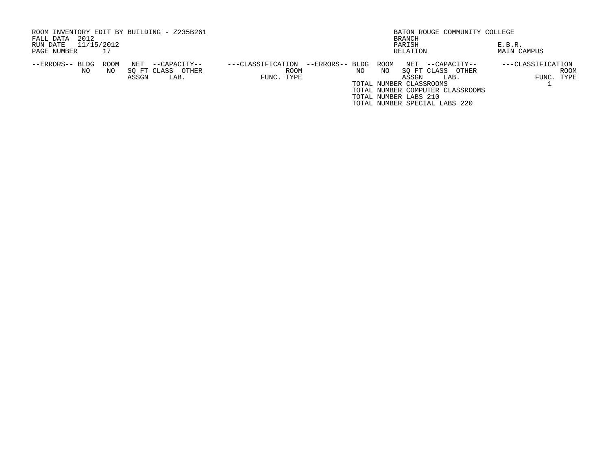| ROOM INVENTORY EDIT BY BUILDING - Z235B261<br>2012<br>FALL DATA |             |              |                                           |                   |                    |                 |     |            | BRANCH                                  | BATON ROUGE COMMUNITY COLLEGE                                     |                       |                    |
|-----------------------------------------------------------------|-------------|--------------|-------------------------------------------|-------------------|--------------------|-----------------|-----|------------|-----------------------------------------|-------------------------------------------------------------------|-----------------------|--------------------|
| 11/15/2012<br>RUN DATE<br>PAGE NUMBER                           |             |              |                                           |                   |                    |                 |     |            | PARISH<br>RELATION                      |                                                                   | E.B.R.<br>MAIN CAMPUS |                    |
|                                                                 |             |              |                                           |                   |                    |                 |     |            |                                         |                                                                   |                       |                    |
| --ERRORS-- BLDG<br>NO.                                          | ROOM<br>NO. | NET<br>ASSGN | --CAPACITY--<br>SO FT CLASS OTHER<br>LAB. | ---CLASSIFICATION | ROOM<br>FUNC. TYPE | --ERRORS-- BLDG | NO. | ROOM<br>NO | NET<br>ASSGN<br>TOTAL NUMBER CLASSROOMS | --CAPACITY--<br>SO FT CLASS<br>OTHER<br>LAB.                      | ---CLASSIFICATION     | ROOM<br>FUNC. TYPE |
|                                                                 |             |              |                                           |                   |                    |                 |     |            | TOTAL NUMBER LABS 210                   | TOTAL NUMBER COMPUTER CLASSROOMS<br>TOTAL NUMBER SPECIAL LABS 220 |                       |                    |